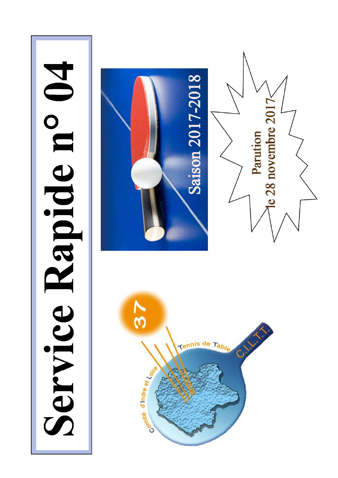# Service Rapide n°

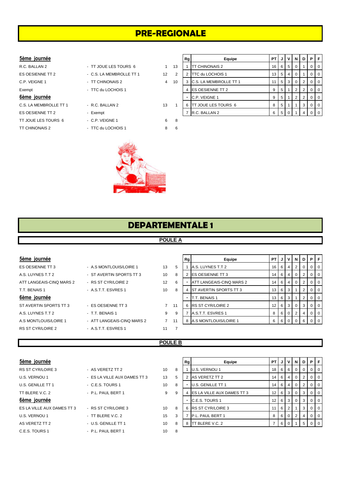# **PRE-REGIONALE**

#### $5$ ème journée

- 
- ES OESIENNE TT 2 Exempt TT JOUE LES TOURS 6 - C.P. VEIGNE 1 6 8
- 
- ES OESIENNE TT 2 C.S. LA MEMBROLLE TT 1 12 C.P. VEIGNE 1 - TT CHINONAIS 2 4 1 Exempt - TTC du LOCHOIS 1 C.S. LA MEMBROLLE TT 1 - R.C. BALLAN 2 13
	-
	-
- TT CHINONAIS 2 TTC du LOCHOIS 1 8 6



| 5ème journée           |                          |                   | Rg |                             | Equipe                   | PT I |                | l V l | N   | D | PIF |                |
|------------------------|--------------------------|-------------------|----|-----------------------------|--------------------------|------|----------------|-------|-----|---|-----|----------------|
| R.C. BALLAN 2          | - TT JOUE LES TOURS 6    |                   | 13 | <b>ITT CHINONAIS 2</b>      |                          | 16   |                | 6 5   |     |   |     | 0 <sub>0</sub> |
| ES OESIENNE TT 2       | - C.S. LA MEMBROLLE TT 1 | $12 \overline{ }$ | 2  | <b>ITTC du LOCHOIS 1</b>    |                          | 13   |                | 514   |     |   |     | l 0            |
| C.P. VEIGNE 1          | - TT CHINONAIS 2         | 4                 | 10 |                             | 3 C.S. LA MEMBROLLE TT 1 | 11   |                | 5 3   | . 0 |   |     | 0 <sub>0</sub> |
| Exempt                 | - TTC du LOCHOIS 1       |                   |    | <b>IES OESIENNE TT 2</b>    |                          | 9    |                |       |     |   |     | 0 <sub>0</sub> |
| 6ème journée           |                          |                   |    | C.P. VEIGNE 1               |                          | 9    | 5 <sup>1</sup> |       | 2   |   |     | $01$ 0         |
| C.S. LA MEMBROLLE TT 1 | - R.C. BALLAN 2          | 13                | 6  | <b>ITT JOUE LES TOURS 6</b> |                          | 8    | -5             |       |     | 3 |     | 0 <sub>0</sub> |
| ES OESIENNE TT 2       | - Exempt                 |                   |    | R.C. BALLAN 2               |                          | 6    | 5   0          |       |     |   |     | $0l$ 0         |

# **DEPARTEMENTALE 1**

### **POULE A**

| 5ème journée             |                            |             |    | Rq | Equipe                        | <b>PT</b>        | J                    | v              | N            | D            | PFI              |
|--------------------------|----------------------------|-------------|----|----|-------------------------------|------------------|----------------------|----------------|--------------|--------------|------------------|
| ES OESIENNE TT 3         | - A.S MONTLOUIS/LOIRE 1    | 13          | 5  |    | A.S. LUYNES T.T 2             |                  | $16 \quad 6$         | 4              | 2            | $\Omega$     | $0$   $0$        |
| A.S. LUYNES T.T.2        | - ST AVERTIN SPORTS TT 3   | 10          | 8  |    | <b>IES OESIENNE TT 3</b>      | $14 \mid 6 \mid$ |                      | $\overline{4}$ | 0            |              | $0$   $0$        |
| ATT LANGEAIS-CINQ MARS 2 | - RS ST CYR/LOIRE 2        | 12          | 6  |    | ATT LANGEAIS-CINQ MARS 2      | 14 <sup>1</sup>  | 6                    | $\overline{4}$ | 0            |              | 0 <sub>0</sub>   |
| T.T. BENAIS 1            | - A.S.T.T. ESVRES 1        | 10          | 8  | 4  | <b>ST AVERTIN SPORTS TT 3</b> |                  | $13 \quad 6 \quad 3$ |                |              | $\mathbf{2}$ | $0$   0          |
| 6ème journée             |                            |             |    |    | T.T. BENAIS 1                 | 13 <sup>1</sup>  | 6                    | -3             |              | 2            | $0$   $0$        |
| ST AVERTIN SPORTS TT 3   | - ES OESIENNE TT 3         | $7^{\circ}$ | 11 | 6  | <b>RS ST CYR/LOIRE 2</b>      | 12 <sub>1</sub>  | 6 3                  |                | $\mathbf{0}$ | 3            | $0$   $0$        |
| A.S. LUYNES T.T.2        | - T.T. BENAIS 1            | 9           | -9 |    | A.S.T.T. ESVRES 1             | 8                | 6                    | $\overline{0}$ | 2            | 4            | $0$   0          |
| A.S. MONTLOUIS/LOIRE 1   | - ATT LANGEAIS-CINQ MARS 2 |             | 11 | 8  | A.S MONTLOUIS/LOIRE 1         | 6                | 6                    |                |              |              | $\overline{101}$ |
| RS ST CYR/LOIRE 2        | - A.S.T.T. ESVRES 1        | 11          |    |    |                               |                  |                      |                |              |              |                  |

#### **POULE B**

| 5ème journée |  |
|--------------|--|
|              |  |

| RS ST CYR/LOIRE 3          |
|----------------------------|
| U.S. VERNOU 1              |
| U.S. GENILLE TT 1          |
| TT BI FREVC 2              |
| 6ème journée               |
| ES LA VILLE AUX DAMES TT 3 |
| U.S. VERNOU 1              |
| AS VERETZ TT 2             |
| C.E.S. TOURS 1             |

| RS ST CYR/LOIRE 3          | - AS VERETZ TT 2             | 10 | 8 |
|----------------------------|------------------------------|----|---|
| U.S. VERNOU 1              | - ES LA VILLE AUX DAMES TT 3 | 13 | 5 |
| U.S. GENILLE TT 1          | - C.E.S. TOURS 1             | 10 | 8 |
| TT BLERE V.C. 2            | - P.L. PAUL BERT 1           | 9  | 9 |
| 6ème journée               |                              |    |   |
| ES LA VILLE AUX DAMES TT 3 | - RS ST CYR/LOIRE 3          | 10 | 8 |
| U.S. VERNOU 1              | - TT BLERE V.C. 2            | 15 | 3 |
| AS VERETZ TT 2             | - U.S. GENILLE TT 1          | 10 | 8 |
| C.E.S. TOURS 1             | - P.L. PAUL BERT 1           | 10 | 8 |
|                            |                              |    |   |

| 5ème journée               |                              |    |   | Rg | Equipe                       | PT I            | JI          | v   | N            | D            | PF        |                |
|----------------------------|------------------------------|----|---|----|------------------------------|-----------------|-------------|-----|--------------|--------------|-----------|----------------|
| RS ST CYR/LOIRE 3          | - AS VERETZ TT 2             | 10 | 8 |    | U.S. VERNOU 1                | 18 I            | 6 I         | - 6 | $\mathbf{0}$ | 0            | $0$   $0$ |                |
| U.S. VERNOU 1              | - ES LA VILLE AUX DAMES TT 3 | 13 | 5 |    | AS VERETZ TT 2               | 14 I            | 6           | 4   | 0            |              | $0$   $0$ |                |
| U.S. GENILLE TT 1          | $-$ C.E.S. TOURS 1           | 10 | 8 |    | U.S. GENILLE TT 1            | 14 I            | - 6 I       | 4   | $\mathbf{0}$ | $\mathbf{2}$ | $0$   $0$ |                |
| TT BLERE V.C. 2            | - P.L. PAUL BERT 1           | 9  | 9 |    | 4 ES LA VILLE AUX DAMES TT 3 | 12 <sub>1</sub> | 6           | 3   | $\mathbf{0}$ | 3            | $0$   $0$ |                |
| 6ème journée               |                              |    |   |    | <b>C.E.S. TOURS 1</b>        |                 | $12 \mid 6$ | 3   | $\mathbf{0}$ | 3            | $0$   0   |                |
| ES LA VILLE AUX DAMES TT 3 | - RS ST CYR/LOIRE 3          | 10 | 8 |    | 6 RS ST CYR/LOIRE 3          |                 | - 6         | 2   |              | 3            | $0$   $0$ |                |
| U.S. VERNOU 1              | $-$ TT BLERE V.C. 2          | 15 | 3 |    | P.L. PAUL BERT 1             | 8               | 6           |     | 2            |              | $0$   0   |                |
| AS VERETZ TT 2             | - U.S. GENILLE TT 1          | 10 | 8 | 8  | <b>ITT BLERE V.C. 2</b>      |                 | 6           |     |              |              |           | $\overline{0}$ |
|                            |                              |    |   |    |                              |                 |             |     |              |              |           |                |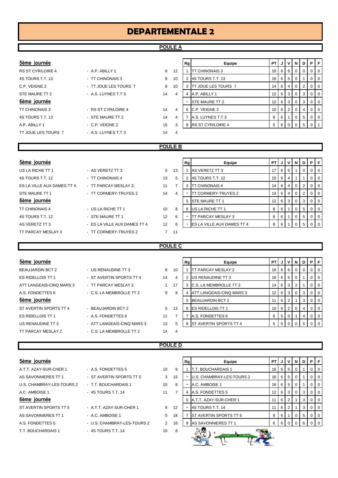#### **POULE A**

### $5$ ème journée

| RS ST CYR/LOIRE 4     |
|-----------------------|
| 4S TOURS T.T. 13      |
| C.P. VEIGNE 2         |
| STE MAURE TT 2        |
| 6ème journée          |
|                       |
| <b>TT CHINONAIS 3</b> |
| 4S TOURS T.T. 13      |
| AP ABILY1             |

## - A.P. ABILLY 1 6 4S TOURS T.T. 13 - TT CHINONAIS 3 8 10 2 4S TOURS T.T. 13 16 6 5 0 1 0 0 - TT JOUE LES TOURS 7 8 - A.S. LUYNES T.T 3 14 - RS ST CYR/LOIRE 4 14 - STE MAURE TT 2 14 - C.P. VEIGNE 2 15 TT JOUE LES TOURS 7 - A.S. LUYNES T.T 3 14 4

| 5ème journée      |                       |    |    | Rg | Equipe                     | PTIJI           |              | I V I N I |                | D I            | PIF    |         |
|-------------------|-----------------------|----|----|----|----------------------------|-----------------|--------------|-----------|----------------|----------------|--------|---------|
| RS ST CYR/LOIRE 4 | $-$ A.P. ABILLY 1     | 6  | 12 |    | <b>TT CHINONAIS 3</b>      |                 | 18666        |           | $\overline{0}$ | $\mathbf{0}$   | $01$ 0 |         |
| 4S TOURS T.T. 13  | - TT CHINONAIS 3      | 8  | 10 |    | 4S TOURS T.T. 13           |                 | $16$ 6 5     |           | - 0            |                |        | $0$   0 |
| C.P. VEIGNE 2     | - TT JOUE LES TOURS 7 | 8  | 10 |    | <b>TT JOUE LES TOURS 7</b> |                 | $14 \ 6 \ 4$ |           | $\overline{0}$ | 2              |        | $01$ 0  |
| STE MAURE TT 2    | - A.S. LUYNES T.T 3   | 14 | 4  | 4  | A.P. ABILLY 1              | 12 <sub>1</sub> |              | 6 3 1     | $\overline{0}$ | 3              |        | $01$ 0  |
| 6ème journée      |                       |    |    |    | <b>STE MAURE TT 2</b>      | 12 <sub>1</sub> |              | 6131      | $\overline{0}$ | 3              |        | $01$ 0  |
| TT CHINONAIS 3    | - RS ST CYR/LOIRE 4   | 14 | 4  |    | 6 C.P. VEIGNE 2            |                 | $10$ 6 $2$   |           | $\Omega$       | $\overline{4}$ |        | $01$ 0  |
| 4S TOURS T.T. 13  | - STE MAURE TT 2      | 14 | 4  |    | A.S. LUYNES T.T 3          | 8               | 61           |           | 0              | 5              | $01$ 0 |         |
| A.P. ABILLY 1     | - C.P. VEIGNE 2       | 15 | 3  | 8  | <b>RS ST CYR/LOIRE 4</b>   |                 | 61           |           |                | 5              |        |         |

#### **POULE B**

| 5ème journée               |                              |             |    | Rg | Equipe                             | <b>PT</b>       | J   | $\mathsf{v}$   | N              | D I            | P.             | -F              |
|----------------------------|------------------------------|-------------|----|----|------------------------------------|-----------------|-----|----------------|----------------|----------------|----------------|-----------------|
| US LA RICHE TT 1           | - AS VERETZ TT 3             | $5^{\circ}$ | 13 |    | AS VERETZ TT 3                     | 17              | 6 I | 5              |                | $\overline{0}$ | $\overline{0}$ | 101             |
| 4S TOURS T.T. 12           | - TT CHINONAIS 4             | 13          | 5  |    | 4S TOURS T.T. 12                   | 15              | 6   | 4              |                |                | $\mathbf{0}$   | 10 <sup>o</sup> |
| ES LA VILLE AUX DAMES TT 4 | - TT PARCAY MESLAY 3         | 11          | ∍  | 3  | <b>TT CHINONAIS 4</b>              | 14              | 6   | 4              | $\Omega$       | 2 <sup>1</sup> | $01$ 0         |                 |
| STE MAURE TT 1             | - TT CORMERY-TRUYES 2        | 14          | 4  |    | TT CORMERY-TRUYES 2                | 14              | 6   | 4              | 0              | 2 <sup>1</sup> | $\mathbf 0$    | <b>0</b>        |
| 6ème journée               |                              |             |    | 5  | <b>STE MAURE TT 1</b>              | 12 <sup>2</sup> | 6 I | 3 <sup>1</sup> | $\overline{0}$ | 3 <sup>1</sup> | $01$ 0         |                 |
| <b>TT CHINONAIS 4</b>      | - US LA RICHE TT 1           | 10          | 8  | 6  | US LA RICHE TT 1                   | 8               | 6   |                | $\Omega$       | 5 <sup>1</sup> | $\mathbf 0$    | $\overline{0}$  |
| 4S TOURS T.T. 12           | - STE MAURE TT 1             | 12          | 6  |    | TT PARCAY MESLAY 3                 | 8               | 6 I |                | $\mathbf{0}$   | 5 <sub>1</sub> | $0$   0        |                 |
| AS VERETZ TT 3             | - ES LA VILLE AUX DAMES TT 4 | 12          | 6  |    | <b>IES LA VILLE AUX DAMES TT 4</b> | 8               | 6   |                |                | 5              |                |                 |
| TT PARCAY MESLAY 3         | - TT CORMERY-TRUYES 2        |             | 11 |    |                                    |                 |     |                |                |                |                |                 |

#### **POULE C**

| 5ème journée             |                            |    |    | Rg | Equipe                          | <b>PT</b>       |                | JIVIN |     | D              |                | PIF            |
|--------------------------|----------------------------|----|----|----|---------------------------------|-----------------|----------------|-------|-----|----------------|----------------|----------------|
| <b>BEAUJARDIN BCT 2</b>  | - US RENAUDINE TT 3        | 8  | 10 |    | <b>ITT PARCAY MESLAY 2</b>      | 18 <sup>1</sup> | . 6 I          | - 6 I | - 0 | $\Omega$       | $\overline{0}$ | $\overline{0}$ |
| <b>ES RIDELLOIS TT 1</b> | - ST AVERTIN SPORTS TT 4   | 14 | 4  |    | <b>US RENAUDINE TT 3</b>        | 16 <sub>1</sub> |                | 65    | - 0 |                | $\overline{0}$ | 0              |
| ATT LANGEAIS-CINO MARS 3 | - TT PARCAY MESLAY 2       |    | 17 | 3  | <b>C.S. LA MEMBROLLE TT 2</b>   | 14              | . 6 I          | 3     | 2   |                | $\overline{0}$ | $\overline{0}$ |
| A.S. FONDETTES 6         | - C.S. LA MEMBROLLE TT 2   | 9  | -9 | 4  | <b>ATT LANGEAIS-CINQ MARS 3</b> | 12 <sub>1</sub> |                | 6 3 0 |     | 3              | 0 <sup>1</sup> | $\overline{0}$ |
| 6ème journée             |                            |    |    | 5  | <b>BEAUJARDIN BCT 2</b>         | 11              | 6 <sup>1</sup> |       |     | 3              | $\overline{0}$ | $\overline{0}$ |
| ST AVERTIN SPORTS TT 4   | - BEAUJARDIN BCT 2         | 5  | 13 | 6  | <b>IES RIDELLOIS TT 1</b>       | 10 I            |                | 6   2 | - 0 | $\overline{4}$ | $\Omega$       | $\Omega$       |
| <b>ES RIDELLOIS TT 1</b> | - A.S. FONDETTES 6         | 11 |    |    | A.S. FONDETTES 6                | 6               | 5 <sup>1</sup> |       |     | 4              | $\overline{0}$ | $\overline{0}$ |
| US RENAUDINE TT 3        | - ATT LANGEAIS-CINQ MARS 3 | 13 | 5  | 8  | <b>IST AVERTIN SPORTS TT 4</b>  | 5               | . 5 .          |       |     | -5             |                | $01$ 0         |
| TT PARCAY MESLAY 2       | - C.S. LA MEMBROLLE TT 2   | 14 | 4  |    |                                 |                 |                |       |     |                |                |                |

#### **POULE D**

| beme journee              |                             |                 |    |
|---------------------------|-----------------------------|-----------------|----|
| A.T.T. AZAY-SUR-CHER 1    | - A.S. FONDETTES 5          | 10              | 8  |
| AS SAVONNIERES TT 1       | - ST AVERTIN SPORTS TT 5    | 3               | 15 |
| U.S. CHAMBRAY-LES-TOURS 2 | - T.T. BOUCHARDAIS 1        | 10 <sup>1</sup> | 8  |
| A.C. AMBOISE 1            | - 4S TOURS T.T. 14          | 11              | 7  |
| 6ème journée              |                             |                 |    |
| ST AVERTIN SPORTS TT 5    | - A.T.T. AZAY-SUR-CHER 1    | 6               | 12 |
| AS SAVONNIERES TT 1       | - A.C. AMBOISE 1            | $\Omega$        | 18 |
| A.S. FONDETTES 5          | - U.S. CHAMBRAY-LES-TOURS 2 | $\mathcal{P}$   | 16 |
| T.T. BOUCHARDAIS 1        | - 4S TOURS T.T. 14          | 10              | 8  |
|                           |                             |                 |    |

| 5ème journée              |                             |                      |    | Rg | Equipe                           | <b>PT</b>       |          | JIVI | - N I    | D I | PIF            |  |
|---------------------------|-----------------------------|----------------------|----|----|----------------------------------|-----------------|----------|------|----------|-----|----------------|--|
| A.T.T. AZAY-SUR-CHER 1    | - A.S. FONDETTES 5          | 10                   | 8  |    | <b>IT.T. BOUCHARDAIS 1</b>       | 16 <sup>1</sup> | - 6      | -5   | $\Omega$ |     | 0 <sub>0</sub> |  |
| AS SAVONNIERES TT 1       | - ST AVERTIN SPORTS TT 5    | 3                    | 15 |    | <b>U.S. CHAMBRAY-LES-TOURS 2</b> |                 | $16$ 6   | - 5  | $\Omega$ |     | 0 <sub>0</sub> |  |
| U.S. CHAMBRAY-LES-TOURS 2 | - T.T. BOUCHARDAIS 1        | 10                   | 8  |    | A.C. AMBOISE 1                   |                 | $16$ 6 5 |      | $\Omega$ |     | 0 <sub>0</sub> |  |
| A.C. AMBOISE 1            | - 4S TOURS T.T. 14          | 11                   |    |    | 4 A.S. FONDETTES 5               | 12 I            | 6        | -3   | $\Omega$ | 3   | 0 <sub>0</sub> |  |
| 6ème journée              |                             |                      |    |    | 5 A.T.T. AZAY-SUR-CHER 1         | 11 <sub>1</sub> | 6        |      |          | З   | $0$   0        |  |
| ST AVERTIN SPORTS TT 5    | - A.T.T. AZAY-SUR-CHER 1    | 6                    | 12 |    | 4S TOURS T.T. 14                 | 11 <sub>1</sub> | - 6      | 2    |          | 3   | $01$ 0         |  |
| AS SAVONNIERES TT 1       | - A.C. AMBOISE 1            | $\Omega$             | 18 |    | 7 ST AVERTIN SPORTS TT 5         | 8               | 6        |      | $\Omega$ | 5   | 0 <sub>0</sub> |  |
| A.S. FONDETTES 5          | - U.S. CHAMBRAY-LES-TOURS 2 | $\mathbf{2}^{\circ}$ | 16 |    | 8 AS SAVONNIERES TT 1            | 6               | 6        |      | $\Omega$ | 6   | $0$   0        |  |
| T.T. BOUCHARDAIS 1        | $-4S$ TOURS T.T. 14         | 10                   | -8 |    |                                  |                 |          |      |          |     |                |  |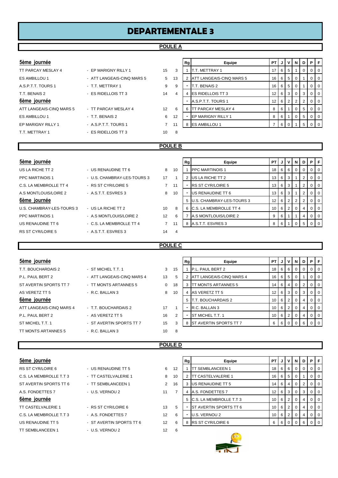#### **POULE A**

| 5ème | <b>lournée</b> |  |
|------|----------------|--|
|      |                |  |
|      |                |  |

| TT PARCAY MESLAY 4       | - EP MARIGNY RILLY 1       | 15 | -3             |
|--------------------------|----------------------------|----|----------------|
| ES AMBILLOU 1            | - ATT LANGEAIS-CINQ MARS 5 | 5  | 13             |
| A.S.P.T.T. TOURS 1       | - T.T. METTRAY 1           | 9  | 9              |
| T.T. BENAIS 2            | - ES RIDELLOIS TT 3        | 14 | $\overline{4}$ |
| 6ème journée             |                            |    |                |
| ATT LANGEAIS-CINQ MARS 5 | - TT PARCAY MESLAY 4       | 12 | 6              |
| ES AMBILLOU 1            | - T.T. BENAIS 2            | 6  | 12             |
| EP MARIGNY RILLY 1       | - A.S.P.T.T. TOURS 1       | 7  | 11             |
| T.T. METTRAY 1           | - ES RIDELLOIS TT 3        | 10 | 8              |

| 5ème journée             |                            |                   |    | Rg | Equipe                          | <b>PTIJIVI</b>  |          |            | 'N             | D | PIF    |                |
|--------------------------|----------------------------|-------------------|----|----|---------------------------------|-----------------|----------|------------|----------------|---|--------|----------------|
| TT PARCAY MESLAY 4       | - EP MARIGNY RILLY 1       | 15                | 3  |    | <b>T.T. METTRAY 1</b>           | 17 <sup>1</sup> | 6 I      | -51        |                | 0 |        | 0 <sup>1</sup> |
| ES AMBILLOU 1            | - ATT LANGEAIS-CINQ MARS 5 | 5                 | 13 |    | <b>ATT LANGEAIS-CINQ MARS 5</b> |                 | $16$ 6 5 |            | 0              |   |        | $0$   0        |
| A.S.P.T.T. TOURS 1       | - T.T. METTRAY 1           | 9                 | 9  |    | T.T. BENAIS 2                   |                 | $16$ 6 5 |            | 0              |   |        | $01$ 0         |
| T.T. BENAIS 2            | - ES RIDELLOIS TT 3        | 14                | 4  | 4  | <b>IES RIDELLOIS TT 3</b>       | 12 I            |          | 6 3        | $\overline{0}$ | 3 |        | 0 <sup>1</sup> |
| 6ème journée             |                            |                   |    |    | A.S.P.T.T. TOURS 1              | 12 I            | 6        | $\sqrt{2}$ | $\overline{2}$ | 2 |        | $0$ 0          |
| ATT LANGEAIS-CINQ MARS 5 | - TT PARCAY MESLAY 4       | $12 \overline{ }$ | 6  | 6  | <b>TT PARCAY MESLAY 4</b>       | 8               | 6 I      |            | $\overline{0}$ | 5 |        | $0$   0        |
| ES AMBILLOU 1            | - T.T. BENAIS 2            | 6                 | 12 |    | <b>IEP MARIGNY RILLY 1</b>      | 8               | 6        |            | $\Omega$       | 5 | $01$ 0 |                |
| EP MARIGNY RILLY 1       | - A.S.P.T.T. TOURS 1       | $\overline{7}$    | 11 | 8  | <b>ES AMBILLOU 1</b>            |                 | 6        |            |                | 5 |        | 0   0          |
|                          |                            |                   |    |    |                                 |                 |          |            |                |   |        |                |

#### **POULE B**

| 5ème journée              |                             |                |     | Rg | Equipe                         | <b>PT</b>       | J | $\mathbf v$ | N                    |                | <b>DIPIF</b> |                |
|---------------------------|-----------------------------|----------------|-----|----|--------------------------------|-----------------|---|-------------|----------------------|----------------|--------------|----------------|
| US LA RICHE TT 2          | - US RENAUDINE TT 6         | 8              | 10  |    | <b>IPPC MARTINOIS 1</b>        | 18              | 6 | - 6         | $\Omega$             | 0 <sup>1</sup> |              | $\overline{0}$ |
| <b>PPC MARTINOIS 1</b>    | - U.S. CHAMBRAY-LES-TOURS 3 | 17             |     |    | US LA RICHE TT 2               | 13 <sup>1</sup> | 6 | -3          |                      | 2 <sup>1</sup> |              | $\overline{0}$ |
| C.S. LA MEMBROLLE TT 4    | - RS ST CYR/LOIRE 5         | $\overline{7}$ | 11  |    | <b>IRS ST CYR/LOIRE 5</b>      | 13 <sub>1</sub> | 6 | 3           |                      | 2              |              | <b>10</b>      |
| A.S. MONTLOUIS/LOIRE 2    | - A.S.T.T. ESVRES 3         | 8              | 10  |    | US RENAUDINE TT 6              | 13 <sup>1</sup> | 6 | 3           |                      | 2 <sup>1</sup> |              | $\overline{0}$ |
| 6ème journée              |                             |                |     | 5  | U.S. CHAMBRAY-LES-TOURS 3      | 12 <sub>1</sub> | 6 | 2           | $\mathbf{2}^{\circ}$ | 2 <sup>1</sup> | 0            | $\overline{1}$ |
| U.S. CHAMBRAY-LES-TOURS 3 | - US LA RICHE TT 2          | 10             | 8   | 6  | <b>IC.S. LA MEMBROLLE TT 4</b> | 10              | 6 | 2           | $\Omega$             | 4              |              | $\overline{0}$ |
| <b>PPC MARTINOIS 1</b>    | - A.S MONTLOUIS/LOIRE 2     | 12             | 6   |    | A.S MONTLOUIS/LOIRE 2          | 9               | 6 |             |                      | 4              |              | $\overline{0}$ |
| US RENAUDINE TT 6         | - C.S. LA MEMBROLLE TT 4    | $\overline{7}$ | -11 |    | 8 A.S.T.T. ESVRES 3            | 8               |   |             |                      | 5              |              |                |
| <b>RS ST CYR/LOIRE 5</b>  | - A S.T.T. ESVRES 3         | 14             | 4   |    |                                |                 |   |             |                      |                |              |                |

## **POULE C**

| 5ème journée             |                            |    |                | Rg | Equipe                          | <b>PTIJIVINI</b> |                    |                |                | D I                  | PF |                |
|--------------------------|----------------------------|----|----------------|----|---------------------------------|------------------|--------------------|----------------|----------------|----------------------|----|----------------|
| T.T. BOUCHARDAIS 2       | - ST MICHEL T.T. 1         | 3  | 15             |    | P.L. PAUL BERT 2                | $18$ 6 6         |                    |                | $\mathbf{0}$   | $\mathbf{0}$         |    | $0$   $0$      |
| P.L. PAUL BERT 2         | - ATT LANGEAIS-CINQ MARS 4 | 13 | 5              |    | <b>ATT LANGEAIS-CINQ MARS 4</b> |                  | $16$ 6             | - 5            | 0              |                      |    | $0$   $0$      |
| ST AVERTIN SPORTS TT 7   | - TT MONTS ARTANNES 5      | 0  | 18             | 3  | <b>ITT MONTS ARTANNES 5</b>     |                  | $14$ 6             | 4              | 0              | $\mathbf{2}^{\circ}$ |    | 0 <sub>0</sub> |
| AS VERETZ TT 5           | - R.C. BALLAN 3            | 8  | 10             | 4  | AS VERETZ TT 5                  |                  | $12 \mid 6 \mid$   | 3              | $\mathbf{0}$   | 3                    |    | $01$ 0         |
| 6ème journée             |                            |    |                | 5  | <b>IT.T. BOUCHARDAIS 2</b>      |                  | $10$ 6 2           |                | $\overline{0}$ | 4                    |    | $0$   $0$      |
| ATT LANGEAIS-CINQ MARS 4 | - T.T. BOUCHARDAIS 2       | 17 |                | ۰  | R.C. BALLAN 3                   |                  | $10 \mid 6 \mid 2$ |                | $\mathbf 0$    | 4                    |    | $0$   $0$      |
| P.L. PAUL BERT 2         | - AS VERETZ TT 5           | 16 | $\overline{2}$ |    | <b>ST MICHEL T.T. 1</b>         |                  | $10$ 6             | $\overline{2}$ | $\Omega$       | 4                    |    | $0$   $0$      |
| ST MICHEL T.T. 1         | - ST AVERTIN SPORTS TT 7   | 15 | 3              | 8  | <b>IST AVERTIN SPORTS TT 7</b>  | 6 I              | 6                  |                | $\Omega$       | 6                    |    | $0$   $0$      |
| TT MONTS ARTANNES 5      | - R.C. BALLAN 3            | 10 | 8              |    |                                 |                  |                    |                |                |                      |    |                |

#### **POULE D**

| 5ème journée              |                          |    |    |
|---------------------------|--------------------------|----|----|
| <b>RS ST CYR/LOIRE 6</b>  | - US RENAUDINE TT 5      | 6  | 12 |
| C.S. LA MEMBROLLE T.T.3   | - TT CASTELVALERIE 1     | 8  | 10 |
| ST AVERTIN SPORTS TT 6    | - TT SEMBLANCEEN 1       | 2  | 16 |
| A.S. FONDETTES 7          | - U.S. VERNOU 2          | 11 | 7  |
| 6ème journée              |                          |    |    |
| <b>TT CASTELVALERIE 1</b> | - RS ST CYR/LOIRE 6      | 13 | 5  |
| C.S. LA MEMBROLLE T.T.3   | - A.S. FONDETTES 7       | 12 | 6  |
| US RENAUDINE TT 5         | - ST AVERTIN SPORTS TT 6 | 12 | 6  |
| <b>TT SEMBLANCEEN 1</b>   | - U.S. VERNOU 2          | 12 | 6  |
|                           |                          |    |    |

| 5ème journée            |                          |                |    | Rg | Equipe                        | <b>PT</b>       | J                |                | N.           | D        | PF      |           |
|-------------------------|--------------------------|----------------|----|----|-------------------------------|-----------------|------------------|----------------|--------------|----------|---------|-----------|
| RS ST CYR/LOIRE 6       | - US RENAUDINE TT 5      | 6              | 12 |    | <b>TT SEMBLANCEEN 1</b>       | 18 I            | 6 I              | - 6            | $\mathbf{0}$ | $\Omega$ | $0$   0 |           |
| C.S. LA MEMBROLLE T.T 3 | - TT CASTELVALERIE 1     | 8              | 10 |    | 2 <b>ITT CASTELVALERIE 1</b>  |                 | $16$ 6           | - 5            | 0            |          |         | $01$ 0    |
| ST AVERTIN SPORTS TT 6  | - TT SEMBLANCEEN 1       | $\overline{2}$ | 16 |    | 3 US RENAUDINE TT 5           |                 | $14 \mid 6 \mid$ | $\overline{4}$ | 0            |          |         | $0$   $0$ |
| A.S. FONDETTES 7        | - U.S. VERNOU 2          | 11             |    |    | 4 A.S. FONDETTES 7            | 12 I            | 6                | -3             | 0            | 3        |         | $0$   $0$ |
| 6ème journée            |                          |                |    |    | 5 C.S. LA MEMBROLLE T.T 3     | 10 <sub>1</sub> | 6                |                | 0            |          |         | $0$   $0$ |
| TT CASTELVALERIE 1      | - RS ST CYR/LOIRE 6      | 13             | 5  |    | <b>ST AVERTIN SPORTS TT 6</b> | 10 I            | 6                |                |              |          |         | $01$ 0    |
| C.S. LA MEMBROLLE T.T 3 | - A.S. FONDETTES 7       | 12             | 6  |    | U.S. VERNOU 2                 | 10 <sup>1</sup> | 6                | $^{\circ}$ 2   | $\Omega$     |          |         | $0$   $0$ |
| US RENAUDINE TT 5       | - ST AVERTIN SPORTS TT 6 | 12             | 6  |    | 8 RS ST CYR/LOIRE 6           | -6              | 6                |                |              | 6        |         | $0$   $0$ |
|                         |                          |                |    |    |                               |                 |                  |                |              |          |         |           |

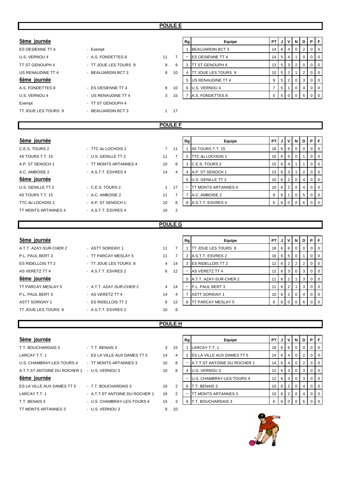| 5ème journée            |                       |                |                | Rg           | Equipe                      | <b>PT</b>      | J    | v            | $\mathsf{N}$   | D              | P           | F           |
|-------------------------|-----------------------|----------------|----------------|--------------|-----------------------------|----------------|------|--------------|----------------|----------------|-------------|-------------|
| <b>ES OESIENNE TT 4</b> | - Exempt              |                |                | $\mathbf{1}$ | <b>BEAUJARDIN BCT 3</b>     | 14             | 6    | 4            | $\mathbf 0$    | $\overline{2}$ | $\mathbf 0$ | $\mathbf 0$ |
| U.S. VERNOU 4           | - A.S. FONDETTES 8    | 11             | 7              |              | <b>ES OESIENNE TT 4</b>     | 14             | 5    | 4            | 1              | 0              | 0           | $\mathbf 0$ |
| TT ST GENOUPH 4         | - TT JOUE LES TOURS 9 | 9              | 9              |              | 3 ITT ST GENOUPH 4          | 13             | 5    | 3            | $\overline{2}$ | $\mathbf 0$    | 0           | $\mathbf 0$ |
| US RENAUDINE TT 4       | - BEAUJARDIN BCT 3    | 8              | 10             | 4            | <b>TT JOUE LES TOURS 9</b>  | 10             | 5    | 2            | 1              | $\overline{2}$ | 0           | $\mathbf 0$ |
| 6ème journée            |                       |                |                | 5            | US RENAUDINE TT 4           | 9              | 5    | 2            | 0              | 3              | 0           | $\mathbf 0$ |
| A.S. FONDETTES 8        | - ES OESIENNE TT 4    | 8              | 10             |              | 6 U.S. VERNOU 4             | $\overline{7}$ | 5    |              | 0              | 4              | $\mathbf 0$ | $\mathbf 0$ |
| U.S. VERNOU 4           | - US RENAUDINE TT 4   | 3              | 15             |              | 7 A.S. FONDETTES 8          | 5              | 5    | $\mathbf 0$  | $\mathbf 0$    | 5              | $\mathbf 0$ | $\mathbf 0$ |
| Exempt                  | - TT ST GENOUPH 4     |                |                |              |                             |                |      |              |                |                |             |             |
| TT JOUE LES TOURS 9     | - BEAUJARDIN BCT 3    | $\mathbf{1}$   | 17             |              |                             |                |      |              |                |                |             |             |
|                         |                       |                |                |              |                             |                |      |              |                |                |             |             |
|                         |                       |                | <b>POULE F</b> |              |                             |                |      |              |                |                |             |             |
|                         |                       |                |                |              |                             |                |      |              |                |                |             |             |
| 5ème journée            |                       |                |                | Rg           | Equipe                      | <b>PT</b>      | J    | $\mathsf{v}$ | N              | D              | P.          | F.          |
| C.E.S. TOURS 2          | - TTC du LOCHOIS 2    | $\overline{7}$ | 11             |              | 1 4S TOURS T.T. 15          | 18             | 6    | 6            | 0              | 0              | 0           | 0           |
| 4S TOURS T.T. 15        | - U.S. GENILLE TT 2   | 11             | 7              |              | 2 TTC du LOCHOIS 2          | 16             | 6    | 5            | $\mathbf 0$    | $\mathbf{1}$   | $\mathbf 0$ | $\mathbf 0$ |
| A.P. ST SENOCH 1        | - TT MONTS ARTANNES 4 | 10             | 8              | 3            | C.E.S. TOURS 2              | 15             | 6    | 4            | 1              | $\mathbf 1$    | 0           | $\mathbf 0$ |
| A.C. AMBOISE 2          | - A.S.T.T. ESVRES 4   | 14             | 4              |              | 4 A.P. ST SENOCH 1          | 13             | 6    | 3            | 1              | $\overline{2}$ | $\mathbf 0$ | $\mathbf 0$ |
| 6ème journée            |                       |                |                |              | 5 U.S. GENILLE TT 2         | 10             | 6    | 2            | 0              | 4              | 0           | $\mathbf 0$ |
| U.S. GENILLE TT 2       | $-C.E.S. TOURS2$      | $\mathbf{1}$   | 17             |              | <b>ITT MONTS ARTANNES 4</b> | 10             | 6    | 2            | 0              | $\overline{4}$ | 0           | $\mathbf 0$ |
| 4S TOURS T.T. 15        | - A.C. AMBOISE 2      | 11             | 7              |              | 7 A.C. AMBOISE 2            | 8              | 6    |              | 0              | 5              | 0           | $\mathbf 0$ |
| TTC du LOCHOIS 2        | - A.P. ST SENOCH 1    | 10             | 8              |              | 8 A.S.T.T. ESVRES 4         | 6              | 6    | 0            | $\mathbf 0$    | 6              | 0           | $\mathbf 0$ |
| TT MONTS ARTANNES 4     | - A.S.T.T. ESVRES 4   | 16             | $\overline{2}$ |              |                             |                |      |              |                |                |             |             |
|                         |                       |                |                |              |                             |                |      |              |                |                |             |             |
|                         |                       |                | <b>POULE G</b> |              |                             |                |      |              |                |                |             |             |
|                         |                       |                |                |              |                             |                |      |              |                |                |             |             |
| 5ème journée            |                       |                |                | Rg           | Equipe                      |                | PT J | V            |                | NDP            |             | F           |

## P.L. PAUL BERT 3 - TT PARCAY MESLAY 5 11 7 ES RIDELLOIS TT 2 - TT JOUE LES TOURS 8 4 14 AS VERETZ TT 4 - A.S.T.T. ESVRES 2 6 12 TT PARCAY MESLAY 5 - A.T.T. AZAY-SUR-CHER 2 4 14 P.L. PAUL BERT 3 - AS VERETZ TT 4 14 4 ASTT SORIGNY 1 - ES RIDELLOIS TT 2 6 12

| 5ème journée           |                          |                |    | Rg | Equipe                      | <b>PT</b>       | ل ا' | $\mathsf{v}$   | N I            |                | <b>DIPIF</b> |                   |
|------------------------|--------------------------|----------------|----|----|-----------------------------|-----------------|------|----------------|----------------|----------------|--------------|-------------------|
| A.T.T. AZAY-SUR-CHER 2 | - ASTT SORIGNY 1         | 11             |    |    | <b>TT JOUE LES TOURS 8</b>  | 18              |      | 66             | $\mathbf{0}$   | $\overline{0}$ | 0 1 0        |                   |
| P.L. PAUL BERT 3       | - TT PARCAY MESLAY 5     | 11             |    | 2  | A.S.T.T. ESVRES 2           | 16              | 61   | 5              | 0              |                |              | $\cdot$ 0 $\cdot$ |
| ES RIDELLOIS TT 2      | - TT JOUE LES TOURS 8    | $\overline{4}$ | 14 |    | 3 <b>IES RIDELLOIS TT 2</b> | 12              | 6    | 2              |                | 2 <sup>1</sup> |              | $\overline{0}$    |
| AS VERETZ TT 4         | - A.S.T.T. ESVRES 2      | 6              | 12 |    | AS VERETZ TT 4              | 12 <sup>1</sup> | 6    | 3 <sup>1</sup> | $\overline{0}$ | 3              | 0 1 0        |                   |
| 6ème journée           |                          |                |    |    | 5 A.T.T. AZAY-SUR-CHER 2    | 11              | 6    | 2              |                | 3 I            | 0 1 0        |                   |
| TT PARCAY MESLAY 5     | - A.T.T. AZAY-SUR-CHER 2 | $\overline{4}$ | 14 |    | P.L. PAUL BERT 3            | 11              | 6    | 2              |                | 3 I            |              |                   |
| P.L. PAUL BERT 3       | - AS VERETZ TT 4         | 14             | 4  |    | <b>ASTT SORIGNY 1</b>       | 10              | 6    | 2              | $\mathbf{0}$   | 4              |              | 10                |
| <b>ASTT SORIGNY 1</b>  | - ES RIDELLOIS TT 2      | 6              | 12 |    | 8 ITT PARCAY MESLAY 5       | 6               |      | 60             | $\Omega$       | 6              |              |                   |
| TT JOUE LES TOURS 8    | - A.S.T.T. ESVRES 2      | 10             | 8  |    |                             |                 |      |                |                |                |              |                   |

#### **POULE H**

| <b>SAILE INAILICE</b>        |                                |    |    | nyı | cquipe                            | <b>FII</b>      |     |       | <b>J V J N J</b> | <u>.</u> | <u>FIF</u> |                          |
|------------------------------|--------------------------------|----|----|-----|-----------------------------------|-----------------|-----|-------|------------------|----------|------------|--------------------------|
| T.T. BOUCHARDAIS 3           | - T.T. BENAIS 3                | 3  | 15 |     | LARCAY T.T. 1                     | 18              | 61  | - 6 I |                  |          |            | ΙO                       |
| LARCAY T.T. 1                | - ES LA VILLE AUX DAMES TT 5   | 14 | 4  |     | <b>ES LA VILLE AUX DAMES TT 5</b> | 14              | 6   | 4     |                  |          |            | ΙO                       |
| U.S. CHAMBRAY-LES-TOURS 4    | - TT MONTS ARTANNES 3          | 10 | 8  |     | A.T.T.ST ANTOINE DU ROCHER 1      | 14              | 6   | 4 I   |                  |          |            | ΙO                       |
| A.T.T.ST ANTOINE DU ROCHER 1 | - U.S. VERNOU 3                | 10 | 8  |     | U.S. VERNOU 3                     | 12 <sup>°</sup> |     | 6 3 1 | $\circ$          | 3        |            | ΙO                       |
| 6ème journée                 |                                |    |    |     | U.S. CHAMBRAY-LES-TOURS 4         | 12              | 61  | 3 I   |                  |          |            | ΙO                       |
| ES LA VILLE AUX DAMES TT 5   | - T.T. BOUCHARDAIS 3           | 16 | 2  | 6   | T.T. BENAIS 3                     | 10              | 6   |       |                  | 4        |            | $\overline{\phantom{a}}$ |
| LARCAY T.T. 1                | - A.T.T.ST ANTOINE DU ROCHER 1 | 16 | 2  |     | TT MONTS ARTANNES 3               | 10              | 6 I |       |                  |          |            | - 0                      |
| T.T. BENAIS 3                | - U.S. CHAMBRAY-LES-TOURS 4    | 15 | 3  | 8   | T.T. BOUCHARDAIS 3                | 6               | 6   |       |                  |          |            | $\overline{1}$ 0         |
| TT MONTS ARTANNES 3          | - U.S. VERNOU 3                | 8  | 10 |     |                                   |                 |     |       |                  |          |            |                          |
|                              |                                |    |    |     |                                   |                 |     |       |                  |          |            |                          |

| 5ème j <u>ournée</u>         |                                |    |    | Rg | Equipe                              | PT I            | J   | v               | N   | D  | P I            |                |
|------------------------------|--------------------------------|----|----|----|-------------------------------------|-----------------|-----|-----------------|-----|----|----------------|----------------|
| T.T. BOUCHARDAIS 3           | - T.T. BENAIS 3                | 3  | 15 |    | LARCAY T.T. 1                       | 18              |     | 66              | - 0 | -0 | $01$ 0         |                |
| LARCAY T.T. 1                | - ES LA VILLE AUX DAMES TT 5   | 14 | 4  |    | <b>ES LA VILLE AUX DAMES TT 5</b>   | 14              | 6   | 4               |     |    | $01$ 0         |                |
| U.S. CHAMBRAY-LES-TOURS 4    | - TT MONTS ARTANNES 3          | 10 | 8  |    | <b>A.T.T.ST ANTOINE DU ROCHER 1</b> | 14 <sup>1</sup> | 6 I | 4               |     |    | $01$ 0         |                |
| A.T.T.ST ANTOINE DU ROCHER 1 | - U.S. VERNOU 3                | 10 | 8  | 4  | U.S. VERNOU 3                       | 12              |     | 6 3             |     | 3  | $0$   0        |                |
| 6ème journée                 |                                |    |    |    | U.S. CHAMBRAY-LES-TOURS 4           | 12 <sub>1</sub> |     | 6 3             |     | 3  | $01$ 0         |                |
| ES LA VILLE AUX DAMES TT 5   | - T.T. BOUCHARDAIS 3           | 16 | 2  | 6  | <b>T.T. BENAIS 3</b>                | 10              | 6 I |                 |     |    |                | $\overline{0}$ |
| LARCAY T.T. 1                | - A.T.T.ST ANTOINE DU ROCHER 1 | 16 | -2 |    | <b>ITT MONTS ARTANNES 3</b>         | 10              |     | $6 \mid 2 \mid$ |     |    | 0 <sup>1</sup> |                |
| T.T. BENAIS 3                | - U.S. CHAMBRAY-LES-TOURS 4    | 15 | 3  | 8  | <b>IT.T. BOUCHARDAIS 3</b>          | 6               | 6 I |                 |     |    | $01$ 0         |                |
|                              |                                |    |    |    |                                     |                 |     |                 |     |    |                |                |

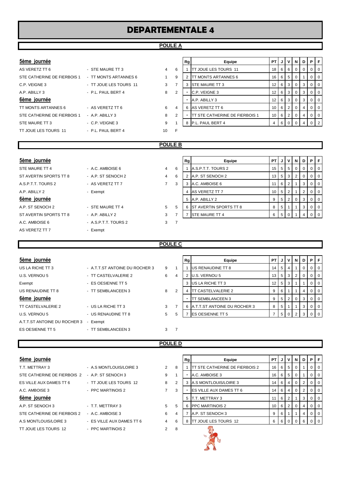#### **POULE A**

| 5ème journee |
|--------------|
|              |

| AS VERETZ TT 6              | - STE MAURE TT 3       | 4  | 6              |
|-----------------------------|------------------------|----|----------------|
| STE CATHERINE DE FIERBOIS 1 | - TT MONTS ARTANNES 6  |    | 9              |
| C.P. VEIGNE 3               | - TT JOUE LES TOURS 11 | 3  | $\overline{7}$ |
| A.P. ABILLY 3               | - P.L. PAUL BERT 4     | 8  | $\overline{2}$ |
| 6ème journée                |                        |    |                |
| TT MONTS ARTANNES 6         | - AS VERETZ TT 6       | 6  | 4              |
| STE CATHERINE DE FIERBOIS 1 | - A.P. ABILLY 3        | 8  | $\overline{2}$ |
| STE MAURE TT 3              | - C.P. VEIGNE 3        | 9  | 1              |
| TT JOUE LES TOURS 11        | - P.L. PAUL BERT 4     | 10 | F              |

| 5ème journée                |                        |   |   | Rg | Equipe                                 | PT I            |     | JIVI  | NI       | D | PIF      |                |
|-----------------------------|------------------------|---|---|----|----------------------------------------|-----------------|-----|-------|----------|---|----------|----------------|
| AS VERETZ TT 6              | - STE MAURE TT 3       | 4 | 6 |    | <b>ITT JOUE LES TOURS 11</b>           | 18 I            |     | 66    | - 0      | 0 | $01$ 0   |                |
| STE CATHERINE DE FIERBOIS 1 | - TT MONTS ARTANNES 6  |   | 9 |    | <b>ITT MONTS ARTANNES 6</b>            | 16 I            |     | 6 5 1 |          |   | $\Omega$ | $\overline{0}$ |
| C.P. VEIGNE 3               | - TT JOUE LES TOURS 11 | 3 |   | 3  | <b>STE MAURE TT 3</b>                  | 12              | 6 3 |       | 0        | 3 | $01$ 0   |                |
| A.P. ABILLY 3               | - P.L. PAUL BERT 4     | 8 | 2 |    | C.P. VEIGNE 3                          | 12 <sub>1</sub> | 613 |       |          |   | $\Omega$ | $\overline{0}$ |
| 6ème journée                |                        |   |   |    | A.P. ABILLY 3                          | 12 <sub>1</sub> | 6 3 |       | 0        | 3 | $\Omega$ | $\overline{0}$ |
| TT MONTS ARTANNES 6         | - AS VERETZ TT 6       | 6 | 4 | 6  | AS VERETZ TT 6                         | 10 I            |     | 6 2 1 | $\Omega$ | 4 | $\Omega$ | $\Omega$       |
| STE CATHERINE DE FIERBOIS 1 | $-$ A.P. ABILLY 3      | 8 | 2 |    | <b>ITT STE CATHERINE DE FIERBOIS 1</b> | 10 I            |     | 6   2 |          |   | $\Omega$ | $\overline{0}$ |
| STE MAURE TT 3              | - C.P. VEIGNE 3        | 9 |   | 8  | P.L. PAUL BERT 4                       |                 |     |       |          |   |          | $\sqrt{2}$     |
|                             |                        |   |   |    |                                        |                 |     |       |          |   |          |                |

#### **POULE B**

|                      |   |   |   | Equipe | PT                                                                                                                                                             |                |   |                   |                           | PIF             |  |
|----------------------|---|---|---|--------|----------------------------------------------------------------------------------------------------------------------------------------------------------------|----------------|---|-------------------|---------------------------|-----------------|--|
| - A.C. AMBOISE 6     | 4 | 6 |   |        | 15                                                                                                                                                             | 5 <sub>1</sub> |   |                   |                           | 0 <sub>10</sub> |  |
| - A.P. ST SENOCH 2   | 4 | 6 |   |        | 13                                                                                                                                                             | 5 <sub>5</sub> |   | 2                 |                           | 0 <sub>1</sub>  |  |
| - AS VERETZ TT 7     | 7 | 3 |   |        | 11                                                                                                                                                             | 6              | 2 |                   | 3                         | 0 <sub>1</sub>  |  |
| - Exempt             |   |   | 4 |        | 10                                                                                                                                                             | 5              | 2 |                   |                           | 0 <sub>1</sub>  |  |
|                      |   |   |   |        | 9                                                                                                                                                              | 5 <sub>5</sub> |   | 0                 | 3                         | 0 1 0           |  |
| - STE MAURE TT 4     | 5 | 5 | 6 |        | 8                                                                                                                                                              | 5              |   |                   |                           | 0 <sup>1</sup>  |  |
| $-$ A.P. ABILLY 2    | 3 |   |   |        | 6                                                                                                                                                              |                |   |                   |                           |                 |  |
| - A.S.P.T.T. TOURS 2 | 3 |   |   |        |                                                                                                                                                                |                |   |                   |                           |                 |  |
| - Exempt             |   |   |   |        |                                                                                                                                                                |                |   |                   |                           |                 |  |
|                      |   |   |   |        | Rg<br>A.S.P.T.T. TOURS 2<br>A.P. ST SENOCH 2<br>A.C. AMBOISE 6<br>AS VERETZ TT 7<br>5 A.P. ABILLY 2<br><b>IST AVERTIN SPORTS TT 8</b><br><b>STE MAURE TT 4</b> |                |   | IJ<br>$5^{\circ}$ | 51<br>3<br>2 <sup>1</sup> | VND             |  |

|   | Rg | Equipe                 | PT |   | v              | N | D        | Р        | F        |
|---|----|------------------------|----|---|----------------|---|----------|----------|----------|
| 6 |    | A.S.P.T.T. TOURS 2     | 15 | 5 | 5              | 0 | $\Omega$ | $\Omega$ | 0        |
| 6 | 2  | A.P. ST SENOCH 2       | 13 | 5 | 3              | 2 | $\Omega$ | $\Omega$ | 0        |
| 3 | 3  | A.C. AMBOISE 6         | 11 | 6 | 2              |   | 3        | $\Omega$ | 0        |
|   | 4  | AS VERETZ TT 7         | 10 | 5 | $\overline{2}$ |   | 2        | $\Omega$ | 0        |
|   | 5  | A.P. ABILLY 2          | 9  | 5 | 2              | O | 3        | $\Omega$ | 0        |
| 5 | 6  | ST AVERTIN SPORTS TT 8 | 8  | 5 |                |   | 3        | 0        | 0        |
| 7 |    | STE MAURE TT 4         | 6  | 5 | O              |   | 4        | O        | $\Omega$ |
|   |    |                        |    |   |                |   |          |          |          |

### **POULE C**

| 5ème journée                 |                                    |   |                | Rg | Equipe                              | PT I            | JI                 | v               | N. | D I            | PF             |  |
|------------------------------|------------------------------------|---|----------------|----|-------------------------------------|-----------------|--------------------|-----------------|----|----------------|----------------|--|
| US LA RICHE TT 3             | - A.T.T.ST ANTOINE DU ROCHER 3     | 9 |                |    | <b>US RENAUDINE TT 8</b>            | 14 <sub>1</sub> | 5 <sub>1</sub>     | 4               |    | $\overline{0}$ | $01$ 0         |  |
| U.S. VERNOU 5                | - TT CASTELVALERIE 2               | 6 | 4              | 2  | U.S. VERNOU 5                       |                 | $13 \mid 5 \mid 3$ |                 | 2  | 0 <sup>1</sup> | $0$   0        |  |
| Exempt                       | - ES OESIENNE TT 5                 |   |                | 3  | US LA RICHE TT 3                    | 12 I            |                    | 5 3             |    |                | 0 <sub>0</sub> |  |
| US RENAUDINE TT 8            | - TT SEMBLANCEEN 3                 | 8 | 2              | 4  | <b>ITT CASTELVALERIE 2</b>          | 9               | 6                  |                 |    | $\overline{4}$ | $01$ 0         |  |
| 6ème journée                 |                                    |   |                | ۰  | <b>TT SEMBLANCEEN 3</b>             | 9               |                    | $5 \mid 2 \mid$ | 0  | 3              | $0$   0        |  |
| TT CASTELVALERIE 2           | - US LA RICHE TT 3                 | 3 |                | 6  | <b>A.T.T.ST ANTOINE DU ROCHER 3</b> | 8               | 5                  |                 |    | 3 <sup>1</sup> | $0$   0        |  |
| U.S. VERNOU 5                | - US RENAUDINE TT 8                | 5 | 5              |    | <b>IES OESIENNE TT 5</b>            |                 | 5 <sub>1</sub>     |                 |    | 3              | $01$ 0         |  |
| A.T.T.ST ANTOINE DU ROCHER 3 | Exempt<br>$\overline{\phantom{0}}$ |   |                |    |                                     |                 |                    |                 |    |                |                |  |
| ES OESIENNE TT 5             | - TT SEMBLANCEEN 3                 | 3 | $\overline{7}$ |    |                                     |                 |                    |                 |    |                |                |  |
|                              |                                    |   |                |    |                                     |                 |                    |                 |    |                |                |  |

#### **POULE D**

| 5ème journée                                   |                           |                |                |
|------------------------------------------------|---------------------------|----------------|----------------|
| T.T. METTRAY 3                                 | - A.S MONTLOUIS/LOIRE 3   | 2              | 8              |
| STE CATHERINE DE FIERBOIS 2 - A.P. ST SENOCH 3 |                           | 9              | $\mathbf{1}$   |
| ES VILLE AUX DAMES TT 6                        | - TT JOUE LES TOURS 12    | 8              | $\overline{2}$ |
| A.C. AMBOISE 3                                 | - PPC MARTINOIS 2         | 7              | 3              |
| 6ème journée                                   |                           |                |                |
| A.P. ST SENOCH 3                               | - T.T. METTRAY 3          | 5              | 5              |
| STE CATHERINE DE FIERBOIS 2                    | - A.C. AMBOISE 3          | 6              | $\overline{4}$ |
| A.S MONTLOUIS/LOIRE 3                          | - ES VILLE AUX DAMES TT 6 | 4              | 6              |
| TT JOUE LES TOURS 12                           | - PPC MARTINOIS 2         | $\mathfrak{p}$ | 8              |
|                                                |                           |                |                |

| 5ème journée                                   |   |  |                            |                                   |                                                                                                                                           | v                               | N                                              | D                              | PIF    |         |
|------------------------------------------------|---|--|----------------------------|-----------------------------------|-------------------------------------------------------------------------------------------------------------------------------------------|---------------------------------|------------------------------------------------|--------------------------------|--------|---------|
| - A.S MONTLOUIS/LOIRE 3                        | 2 |  |                            |                                   |                                                                                                                                           |                                 | 0                                              |                                |        | $0$   0 |
| STE CATHERINE DE FIERBOIS 2 - A.P. ST SENOCH 3 | 9 |  | A.C. AMBOISE 3             |                                   |                                                                                                                                           |                                 | 0                                              |                                |        | $0$   0 |
| - TT JOUE LES TOURS 12                         | 8 |  |                            |                                   |                                                                                                                                           |                                 | 0                                              |                                |        | $01$ 0  |
| - PPC MARTINOIS 2                              |   |  |                            |                                   |                                                                                                                                           |                                 | $\overline{0}$                                 |                                | $01$ 0 |         |
|                                                |   |  |                            |                                   |                                                                                                                                           |                                 |                                                | 3                              |        | $0$   0 |
| - T.T. METTRAY 3                               | 5 |  | <b>PPC MARTINOIS 2</b>     |                                   |                                                                                                                                           |                                 | $\Omega$                                       |                                | $01$ 0 |         |
| - A.C. AMBOISE 3                               | 6 |  | A.P. ST SENOCH 3           |                                   |                                                                                                                                           |                                 |                                                | 4                              |        | $0$   0 |
| - ES VILLE AUX DAMES TT 6                      | 4 |  |                            | 6                                 |                                                                                                                                           |                                 |                                                | 6                              | $01$ 0 |         |
|                                                |   |  | 8<br>2<br>3<br>5<br>4<br>6 | Rg<br>5 IT.T. METTRAY 3<br>6<br>8 | Equipe<br>TT STE CATHERINE DE FIERBOIS 2<br><b>A.S MONTLOUIS/LOIRE 3</b><br><b>ES VILLE AUX DAMES TT 6</b><br><b>TT JOUE LES TOURS 12</b> | PTIJ<br>16 I<br>16 <sup>1</sup> | 65<br>$14 \ 6 \ 4$<br>$14 \ 6 \ 4$<br>6 I<br>6 | 65<br>$11$ 6 $2$<br>$10$ 6 $2$ |        |         |

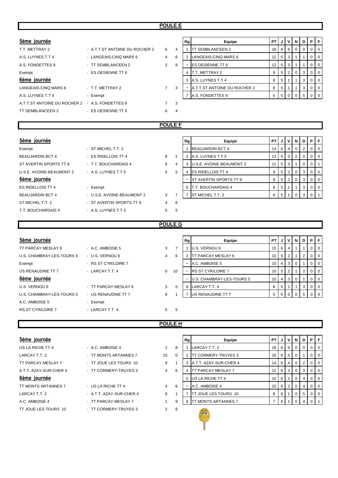| 5ème journée                 |                                |                |   | Rg | Equipe                       | PT              |                |                | JVND |    | PIF            |  |
|------------------------------|--------------------------------|----------------|---|----|------------------------------|-----------------|----------------|----------------|------|----|----------------|--|
| T.T. METTRAY 2               | - A.T.T.ST ANTOINE DU ROCHER 2 | 6              | 4 |    | <b>ITT SEMBLANCEEN 2</b>     | 18 <sup>1</sup> | 6              | 6              | - 0  |    | 0 <sub>1</sub> |  |
| A.S. LUYNES T.T 4            | - LANGEAIS-CINQ MARS 6         | 4              | 6 |    | LANGEAIS-CINQ MARS 6         | 12 <sup>2</sup> | 5 <sub>1</sub> | 3 I            |      |    | 0 <sub>1</sub> |  |
| A.S. FONDETTES 9             | - TT SEMBLANCEEN 2             | 2              | 8 |    | <b>IES OESIENNE TT 6</b>     | 12 <sup>2</sup> | 5              | 3              |      |    | 0 <sub>0</sub> |  |
| Exempt                       | - ES OESIENNE TT 6             |                |   |    | T.T. METTRAY 2               | 9               | 5              | 2 <sup>1</sup> |      |    | 0 <sub>1</sub> |  |
| 6ème journée                 |                                |                |   | 5  | A.S. LUYNES T.T 4            | 8               | 5              |                |      | 3  | 0 <sub>1</sub> |  |
| LANGEAIS-CINQ MARS 6         | - T.T. METTRAY 2               | $\overline{7}$ | 3 |    | A.T.T.ST ANTOINE DU ROCHER 2 | 8               | 5              |                |      |    | 0 <sub>1</sub> |  |
| A.S. LUYNES T.T 4            | - Exempt                       |                |   |    | A.S. FONDETTES 9             | 5               | 5              | $\Omega$       |      | .5 | 0 I O          |  |
| A.T.T.ST ANTOINE DU ROCHER 2 | - A.S. FONDETTES 9             |                | 3 |    |                              |                 |                |                |      |    |                |  |
| TT SEMBLANCEEN 2             | - ES OESIENNE TT 6             | 6              | 4 |    |                              |                 |                |                |      |    |                |  |
|                              |                                |                |   |    |                              |                 |                |                |      |    |                |  |

|   | Rg | Equipe                       | PT | J | v | N        | D | P | F |
|---|----|------------------------------|----|---|---|----------|---|---|---|
| 4 |    | <b>TT SEMBLANCEEN 2</b>      | 18 | 6 | 6 | 0        | 0 | O | 0 |
| 6 | 2  | LANGEAIS-CINQ MARS 6         | 12 | 5 | 3 |          |   | O | 0 |
| R |    | <b>ES OESIENNE TT 6</b>      | 12 | 5 | 3 |          |   | Ω | 0 |
|   | 4  | T.T. METTRAY 2               | 9  | 5 | 2 | $\Omega$ | 3 | ი | 0 |
|   | 5  | A.S. LUYNES T.T 4            | 8  | 5 | 4 |          | 3 | Ω | 0 |
| 3 |    | A.T.T.ST ANTOINE DU ROCHER 2 | 8  | 5 |   |          | 3 | O | 0 |
|   |    | A.S. FONDETTES 9             | 5  | 5 | n |          | 5 |   | U |
| 3 |    |                              |    |   |   |          |   |   |   |

#### **POULE F**

# $5$ ème journée

| Exempt                   | - ST MICHEL T.T. 2         |   |   |
|--------------------------|----------------------------|---|---|
| <b>BEAUJARDIN BCT 4</b>  | - ES RIDELLOIS TT 4        | 8 | 2 |
| ST AVERTIN SPORTS TT 9   | - T.T. BOUCHARDAIS 4       | 6 | 4 |
| U.S.E. AVOINE-BEAUMONT 2 | - A.S. LUYNES T.T.5        | 5 | 5 |
| 6ème journée             |                            |   |   |
| <b>ES RIDELLOIS TT 4</b> | - Exempt                   |   |   |
| <b>BEAUJARDIN BCT 4</b>  | - U.S.E. AVOINE-BEAUMONT 2 | 3 | 7 |
| ST MICHEL T.T. 2         | - ST AVERTIN SPORTS TT 9   | 4 | 6 |
| T.T. BOUCHARDAIS 4       | - A.S. LUYNES T.T.5        | 5 | 5 |
|                          |                            |   |   |

| 5ème journée             |                                       |   | Rg       | Equipe | PT I                           | . J I | ·∨ I | N  | D I            | PF       |           |  |
|--------------------------|---------------------------------------|---|----------|--------|--------------------------------|-------|------|----|----------------|----------|-----------|--|
| Exempt                   | - ST MICHEL T.T. 2                    |   |          |        | <b>BEAUJARDIN BCT 4</b>        | 14 I  | 6    |    | 0              |          | $0$   $0$ |  |
| <b>BEAUJARDIN BCT 4</b>  | - ES RIDELLOIS TT 4                   | 8 | 2        |        | A.S. LUYNES T.T 5              | 13 I  | 5    | -3 | 2              |          | $0$   $0$ |  |
| ST AVERTIN SPORTS TT 9   | - T.T. BOUCHARDAIS 4                  | 6 | 4        |        | 3 U.S.E. AVOINE-BEAUMONT 2     |       | 5    | -3 |                | $\Omega$ | $0$   1   |  |
| U.S.E. AVOINE-BEAUMONT 2 | - A.S. LUYNES T.T 5                   | 5 | 5        | 4      | <b>ES RIDELLOIS TT 4</b>       | 9     | 5    | 2  | $\Omega$       | 3        | $0$   $0$ |  |
| 6ème journée             |                                       |   |          |        | <b>IST AVERTIN SPORTS TT 9</b> | 9     | 5    | 2  | $\overline{0}$ | 3        | $0$   $0$ |  |
| ES RIDELLOIS TT 4        | - Exempt                              |   |          | 6      | <b>T.T. BOUCHARDAIS 4</b>      | 8     | 5    |    |                | 3        | $0$   $0$ |  |
| <b>BEAUJARDIN BCT 4</b>  | - U.S.E. AVOINE-BEAUMONT 2            | 3 |          |        | <b>ST MICHEL T.T. 2</b>        | 6 I   | 5    |    |                |          |           |  |
| ST MICHEITT 2            | $\overline{a}$ ST AVERTIN SPORTS TT 9 | Δ | <b>6</b> |        |                                |       |      |    |                |          |           |  |

#### **POULE G**

|                      |                |    | Equipe                    |                                                                                      | J              |      |   |    | PIF            |  |
|----------------------|----------------|----|---------------------------|--------------------------------------------------------------------------------------|----------------|------|---|----|----------------|--|
| $-$ A.C. AMBOISE 5   | 3              |    |                           | 15                                                                                   | 6              | 4    |   |    | 0 <sup>1</sup> |  |
| - U.S. VERNOU 6      | $\overline{4}$ | 6  | <b>TT PARCAY MESLAY 6</b> | 10                                                                                   | -5             |      |   |    | 0 <sup>1</sup> |  |
| - RS ST CYR/LOIRE 7  |                |    |                           | 10                                                                                   | $\overline{4}$ | 3    |   |    | 0 <sub>0</sub> |  |
| - LARCAY T.T. 4      | $\mathbf{0}$   | 10 |                           | 10                                                                                   | . 5            |      |   |    | 0 <sup>1</sup> |  |
|                      |                |    | U.S. CHAMBRAY-LES-TOURS 5 | 10                                                                                   | $\overline{4}$ | 3    | 0 |    | 0 <sup>1</sup> |  |
| - TT PARCAY MESLAY 6 | 5 <sup>5</sup> | 5  |                           | 8                                                                                    | -5             |      |   | 3  | 0 <sup>1</sup> |  |
| - US RENAUDINE TT 7  | 9              |    | US RENAUDINE TT 7         | 5                                                                                    |                |      |   |    |                |  |
| - Exempt             |                |    |                           |                                                                                      |                |      |   |    |                |  |
| - LARCAY T.T. 4      | 5              | 5  |                           |                                                                                      |                |      |   |    |                |  |
|                      |                |    |                           | Rg<br>U.S. VERNOU 6<br>A.C. AMBOISE 5<br><b>RS ST CYR/LOIRE 7</b><br>6 LARCAY T.T. 4 |                | PT I |   | v. | N   D          |  |

#### **POULE H**

| 5ème journée           |                          |    |          |
|------------------------|--------------------------|----|----------|
| US LA RICHE TT 4       | - A.C. AMBOISE 4         | 2  | 8        |
| LARCAY T.T. 2          | - TT MONTS ARTANNES 7    | 10 | $\Omega$ |
| TT PARCAY MESLAY 7     | - TT JOUE LES TOURS 10   | 9  | 1        |
| A.T.T. AZAY-SUR-CHER 4 | - TT CORMERY-TRUYES 3    | 4  | 6        |
| 6ème journée           |                          |    |          |
| TT MONTS ARTANNES 7    | - US LA RICHE TT 4       | 4  | 6        |
| LARCAY T.T. 2          | - A.T.T. AZAY-SUR-CHER 4 | 9  | 1        |
| A.C. AMBOISE 4         | - TT PARCAY MESLAY 7     | 1  | 9        |
| TT JOUE LES TOURS 10   | - TT CORMERY-TRUYES 3    | 2  | 8        |
|                        |                          |    |          |

| - A C. AMBOISE 4        |
|-------------------------|
| - TT MONTS ARTANNES 7   |
| - TT JOUF LES TOURS 10  |
| - TT CORMERY-TRUYES 3   |
|                         |
| - US LA RICHE TT 4      |
| - A T T AZAY-SUR-CHER 4 |
| - TT PARCAY MESLAY 7    |
| TT CORMERY-TRUYES 3     |

| 5ème journée           |                          |                |          | Rg | Equipe                        | <b>PT J J V I N</b> |          |                       |                | D              | PIF    |         |
|------------------------|--------------------------|----------------|----------|----|-------------------------------|---------------------|----------|-----------------------|----------------|----------------|--------|---------|
| US LA RICHE TT 4       | - A.C. AMBOISE 4         | $\overline{2}$ | 8        |    | LARCAY T.T. 2                 |                     |          | 18 6 6                | $\overline{0}$ | 0              |        | $01$ 0  |
| LARCAY T.T. 2          | - TT MONTS ARTANNES 7    | 10             | $\Omega$ |    | TT CORMERY-TRUYES 3           |                     |          | $16$ 6 5              |                |                |        | 0 0     |
| TT PARCAY MESLAY 7     | - TT JOUE LES TOURS 10   | 9              |          |    | <b>A.T.T. AZAY-SUR-CHER 4</b> |                     | $14$   6 | 4                     | $\overline{0}$ | 2              |        | $0$   0 |
| A.T.T. AZAY-SUR-CHER 4 | - TT CORMERY-TRUYES 3    | 4              | 6        |    | <b>TT PARCAY MESLAY 7</b>     | 12 I                |          | 6 3 1                 | $\overline{0}$ | 3              |        | $0$   0 |
| 6ème journée           |                          |                |          |    | US LA RICHE TT 4              |                     |          | $10$ 6 $2$            | - 0            | 4              |        | $01$ 0  |
| TT MONTS ARTANNES 7    | - US LA RICHE TT 4       | $\overline{4}$ | 6        |    | A.C. AMBOISE 4                |                     |          | $10$ 6 $\overline{2}$ | $\overline{0}$ | $\overline{4}$ |        | $01$ 0  |
| LARCAY T.T. 2          | - A.T.T. AZAY-SUR-CHER 4 | 9              |          |    | <b>TT JOUE LES TOURS 10</b>   | 8                   | 6 1      |                       | $\Omega$       | 5              | $01$ 0 |         |
| A.C. AMBOISE 4         | - TT PARCAY MESLAY 7     |                | 9        | 8  | <b>TT MONTS ARTANNES 7</b>    |                     | 6        |                       |                |                |        |         |
|                        |                          |                |          |    |                               |                     |          |                       |                |                |        |         |

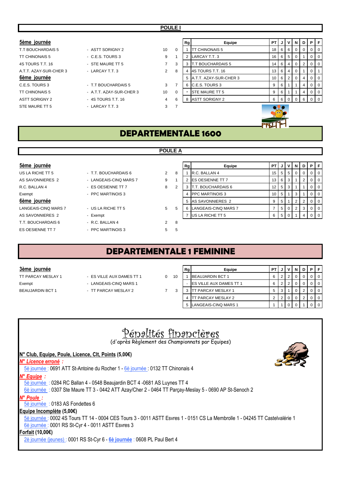| 5ème journée           |                          |                |             | Rg | Equipe                   | <b>PT</b> | JI  |                   | VINI           | D              | P.       | -F             |
|------------------------|--------------------------|----------------|-------------|----|--------------------------|-----------|-----|-------------------|----------------|----------------|----------|----------------|
| T.T BOUCHARDAIS 5      | - ASTT SORIGNY 2         | 10             | $\mathbf 0$ |    | <b>TT CHINONAIS 5</b>    | 18        | 6 I |                   | 60             |                |          | 0              |
| <b>TT CHINONAIS 5</b>  | $-C.E.S. TOURS3$         | 9              |             |    | LARCAY T.T. 3            | 16        |     | 6 5               | 0              |                | 0        | $\overline{0}$ |
| 4S TOURS T.T. 16       | - STE MAURE TT 5         |                | 3           |    | <b>T.T BOUCHARDAIS 5</b> | 14        |     | $6 \mid 4 \mid 0$ |                | $\overline{2}$ | 0        | 0              |
| A.T.T. AZAY-SUR-CHER 3 | - LARCAY T.T. 3          | $\overline{2}$ | 8           |    | 4S TOURS T.T. 16         | 13        | 6   | 4 <sup>1</sup>    | $\mathbf{0}$   |                | 0        |                |
| 6ème journée           |                          |                |             | 5  | A.T.T. AZAY-SUR-CHER 3   | 10        |     | 6 2               | $\overline{0}$ | 4              | $\Omega$ | $\overline{0}$ |
| C.E.S. TOURS 3         | - T.T BOUCHARDAIS 5      | 3              | 7           | 6  | <b>C.E.S. TOURS 3</b>    | 9         | 6   |                   |                | 4              |          | 0              |
| <b>TT CHINONAIS 5</b>  | - A.T.T. AZAY-SUR-CHER 3 | 10             | 0           |    | <b>STE MAURE TT 5</b>    | 9         | 6   |                   |                | 4              |          | 0              |
| <b>ASTT SORIGNY 2</b>  | - 4S TOURS T.T. 16       | $\overline{4}$ | 6           | 8  | <b>ASTT SORIGNY 2</b>    | 6         |     | 60                |                | $0$   6        | $\Omega$ | $\overline{0}$ |
| STE MAURE TT 5         | - LARCAY T.T. 3          | 3              |             |    |                          |           |     |                   |                |                |          |                |
|                        |                          |                |             |    |                          |           |     |                   |                |                |          |                |
|                        |                          |                |             |    |                          |           |     |                   |                |                |          |                |

AS SAVONNIERES 2 - Exempt

US LA RICHE TT 5 <sup>-</sup> T.T. BOUCHARDAIS 6 2 AS SAVONNIERES 2 - LANGEAIS-CINQ MARS 7 9 R.C. BALLAN 4 - ES OESIENNE TT 7 3 8 Exempt - PPC MARTINOIS 3 LANGEAIS-CINQ MARS 7 - US LA RICHE TT 5 5 5 T.T. BOUCHARDAIS 6 - R.C. BALLAN 4 2 8

ES OESIENNE TT 7 - PPC MARTINOIS 3 5 5 5

| 5ème journée         |                        |                |   | Rg | Equipe                    | PT.  |                |                | JIVINI         | D        | PIF            |                |
|----------------------|------------------------|----------------|---|----|---------------------------|------|----------------|----------------|----------------|----------|----------------|----------------|
| US LA RICHE TT 5     | - T.T. BOUCHARDAIS 6   | $\overline{2}$ | 8 |    | R.C. BALLAN 4             | 15   |                | 5 5 1          | -0             | $\Omega$ | $\Omega$       | <b>0</b>       |
| AS SAVONNIERES 2     | - LANGEAIS-CINQ MARS 7 | 9              |   |    | <b>IES OESIENNE TT 7</b>  | 13 I |                | 6 3            |                |          | $\overline{0}$ | $\overline{0}$ |
| R.C. BALLAN 4        | - ES OESIENNE TT 7     | 8              | ◠ |    | <b>T.T. BOUCHARDAIS 6</b> | 12   |                | 5 3            |                |          |                | $\Omega$       |
| Exempt               | - PPC MARTINOIS 3      |                |   |    | <b>PPC MARTINOIS 3</b>    | 10   | 5              |                | 3              |          | $\overline{0}$ | $\overline{0}$ |
| 6ème journée         |                        |                |   |    | 5 AS SAVONNIERES 2        |      | 5              |                |                |          |                | <b>0</b>       |
| LANGEAIS-CINQ MARS 7 | - US LA RICHE TT 5     | 5              | 5 |    | LANGEAIS-CINQ MARS 7      |      | 5 <sup>1</sup> | $\overline{0}$ | $\overline{2}$ | 3        | $\Omega$       | $\overline{0}$ |
| AS SAVONNIERES 2     | - Exempt               |                |   |    | US LA RICHE TT 5          |      | 5 <sup>1</sup> |                |                |          |                | $\overline{0}$ |
|                      |                        |                |   |    |                           |      |                |                |                |          |                |                |

# **DEPARTEMENTALE 1 FEMININE**

#### $3$ ème journée

Exempt - LANGEAIS-CINQ MARS 1 BEAUJARDIN BCT 1 - TT PARCAY MESLAY 2 7 3 3 TT PARCAY MESLAY 1 5 3 1 0 2 0 0

- TT PARCAY MESLAY 1 ES VILLE AUX DAMES TT 1 0 1
	-
	-

|    | Rg | Equipe                    | РT             |   |   | N |   | в |  |
|----|----|---------------------------|----------------|---|---|---|---|---|--|
| ١0 |    | <b>BEAUJARDIN BCT 1</b>   | 6              | 2 | ◠ |   |   |   |  |
|    |    | ES VILLE AUX DAMES TT 1   | 6              | 2 | ◠ |   |   |   |  |
| 3  | 3  | <b>TT PARCAY MESLAY 1</b> | 5              | 3 |   |   | っ |   |  |
|    |    | TT PARCAY MESLAY 2        | $\overline{2}$ | ◠ |   |   | ົ |   |  |
|    | 5  | LANGEAIS-CINQ MARS 1      |                |   |   |   |   |   |  |



## **POULE A**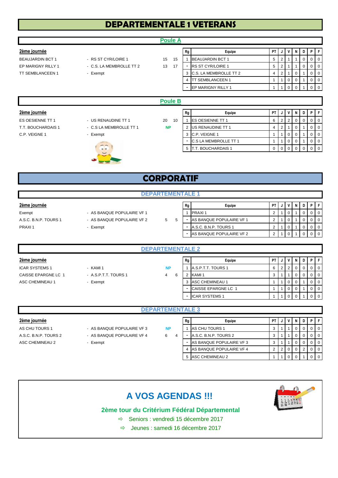# **DEPARTEMENTALE 1 VETERANS**

|                         |                                 | <b>Poule A</b> |                          |                              |      |                |                |             |                |                |                |
|-------------------------|---------------------------------|----------------|--------------------------|------------------------------|------|----------------|----------------|-------------|----------------|----------------|----------------|
| 2ème journée            |                                 |                | Rg                       | Equipe                       | PT I |                |                | N           | D              | P              | l F.           |
| <b>BEAUJARDIN BCT 1</b> | - RS ST CYR/LOIRE 1             | 15<br>15       |                          | <b>BEAUJARDIN BCT 1</b>      | 5    | $\overline{2}$ |                |             | $\overline{0}$ | 0              | $\overline{0}$ |
| EP MARIGNY RILLY 1      | - C.S. LA MEMBROLLE TT 2        | 13<br>17       |                          | <b>RS ST CYR/LOIRE 1</b>     | 5    | $\overline{2}$ |                |             | $\overline{0}$ | 0              | $\overline{0}$ |
| <b>TT SEMBLANCEEN 1</b> | - Exempt                        |                | 3                        | C.S. LA MEMBROLLE TT 2       | 4    | $\overline{2}$ |                | 0           |                | 0              | $\overline{0}$ |
|                         |                                 |                | 4                        | TT SEMBLANCEEN 1             | 1    |                | $\mathbf 0$    | 0           |                | 0              | $\overline{0}$ |
|                         |                                 |                | ۰                        | EP MARIGNY RILLY 1           | 4    |                | $\mathbf 0$    | $\mathbf 0$ |                | $\mathbf 0$    | I 0            |
|                         |                                 |                |                          |                              |      |                |                |             |                |                |                |
|                         |                                 | <b>Poule B</b> |                          |                              |      |                |                |             |                |                |                |
| 2ème journée            |                                 |                | Rg                       | Equipe                       | PT I |                | v              | N           | D              |                | PF             |
| ES OESIENNE TT 1        | - US RENAUDINE TT 1             | 20<br>10       |                          | <b>ES OESIENNE TT 1</b>      | 6    | $\overline{2}$ | $\overline{2}$ | 0           | 0              | $\mathbf 0$    | $\overline{0}$ |
| T.T. BOUCHARDAIS 1      | - C.S LA MEMBROLLE TT 1         | <b>NP</b>      | 2                        | US RENAUDINE TT 1            | 4    | $\overline{2}$ |                | 0           |                | 0              | $\overline{0}$ |
| C.P. VEIGNE 1           | - Exempt                        |                | 3                        | C.P. VEIGNE 1                | 1    |                | $\mathbf 0$    | $\Omega$    |                | $\mathbf 0$    | $\Omega$       |
|                         | MAYOU                           |                | $\overline{\phantom{a}}$ | <b>C.S LA MEMBROLLE TT 1</b> | 1    |                | $\mathbf 0$    | 0           |                | 0              | $\overline{0}$ |
|                         | $\sim$ $\sim$<br>0 <sup>o</sup> |                |                          | 5   T.T. BOUCHARDAIS 1       | 0    | $\overline{0}$ | $\overline{0}$ | $\mathbf 0$ | $\overline{0}$ | $\overline{0}$ | $\overline{0}$ |

# **CORPORATIF**

| 2ème journée          |                            |   |   | Rg | Equipe                   | <b>PT</b> | J | v | N |  |  | PIFI             |
|-----------------------|----------------------------|---|---|----|--------------------------|-----------|---|---|---|--|--|------------------|
| Exempt                | - AS BANQUE POPULAIRE VF 1 |   |   |    | <b>PRAXI1</b>            |           |   |   |   |  |  | $\overline{101}$ |
| A.S.C. B.N.P. TOURS 1 | - AS BANQUE POPULAIRE VF 2 | 5 | 5 |    | AS BANQUE POPULAIRE VF 1 |           |   |   |   |  |  | $\overline{101}$ |
| PRAXI1                | - Exempt                   |   |   |    | A.S.C. B.N.P. TOURS 1    |           |   |   |   |  |  | $\overline{101}$ |
|                       |                            |   |   |    | AS BANQUE POPULAIRE VF 2 |           |   |   |   |  |  | $\overline{0}$   |
|                       |                            |   |   |    |                          |           |   |   |   |  |  |                  |

| <b>DEPARTEMENTALE 2</b> |                      |           |    |                       |   |                |    |   |   |   |                  |
|-------------------------|----------------------|-----------|----|-----------------------|---|----------------|----|---|---|---|------------------|
| 2ème journée            |                      |           | Rg | Equipe                |   | PT J           | V  |   | D |   | PF               |
| <b>ICAR SYSTEMS 1</b>   | - KAMI 1             | <b>NP</b> |    | A.S.P.T.T. TOURS 1    | 6 | 2 <sub>1</sub> | -2 | 0 | 0 | 0 | $\overline{1}$ 0 |
| CAISSE EPARGNE LC 1     | - A.S.P.T.T. TOURS 1 | 4<br>6    |    | KAMI 1                | ు |                |    | 0 | 0 |   | $\overline{1}$ 0 |
| ASC CHEMINEAU 1         | - Exempt             |           |    | ASC CHEMINEAU 1       |   |                | 0  | 0 |   | O | $\overline{0}$   |
|                         |                      |           | -  | CAISSE EPARGNE LC 1   |   |                |    |   |   |   | $\overline{0}$   |
|                         |                      |           |    | <b>ICAR SYSTEMS 1</b> |   |                |    |   |   |   | $\overline{0}$   |

- 
- 
- 
- **NP**

**DEPARTEMENTALE 3**

**2ème journée Rg Equipe PT J V N D P F** AS CHU TOURS 1 - AS BANQUE POPULAIRE VF 3 NP 1 AS CHU TOURS 1 3 1 1 0 0 0 0 0 0 0 0 0 1 A.S.C. B.N.P. TOURS 2 - AS BANQUE POPULAIRE VF 4 6 4  $-$  A.S.C. B.N.P. TOURS 2 3 1 1 0 0 0 0 0 ASC CHEMINEAU 2 - Exempt - AS BANQUE POPULAIRE VF 3 3 1 1 0 0 0 0 4 AS BANQUE POPULAIRE VF 4 2 2 0 0 2 0 0 5 ASC CHEMINEAU 2 1 1 0 0

# **A VOS AGENDAS !!!**

## **2ème tour du Critérium Fédéral Départemental**

- $\Rightarrow$  Seniors : vendredi 15 décembre 2017
- $\Rightarrow$  Jeunes : samedi 16 décembre 2017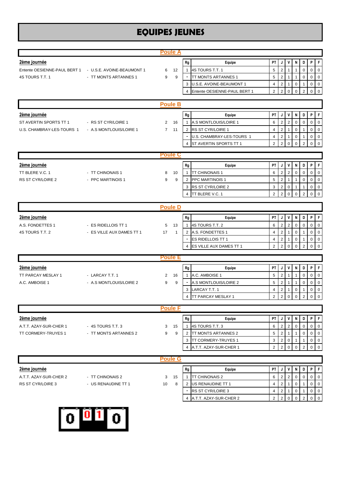# **EQUIPES JEUNES**

|                                                                                            |                                                  | <b>Poule A</b>                |                                                                                                                          |                                                                                               |                                                               |                                                                                      |                                                                              |                                                            |                                                                    |                                                                                                                                 |
|--------------------------------------------------------------------------------------------|--------------------------------------------------|-------------------------------|--------------------------------------------------------------------------------------------------------------------------|-----------------------------------------------------------------------------------------------|---------------------------------------------------------------|--------------------------------------------------------------------------------------|------------------------------------------------------------------------------|------------------------------------------------------------|--------------------------------------------------------------------|---------------------------------------------------------------------------------------------------------------------------------|
| 2ème journée<br>Entente OESIENNE-PAUL BERT 1 - U.S.E. AVOINE-BEAUMONT 1<br>4S TOURS T.T. 1 | - TT MONTS ARTANNES 1                            | 12<br>6<br>9<br>9             | Rg<br>4S TOURS T.T. 1<br>$\mathbf{1}$<br>3<br>4                                                                          | Equipe<br>TT MONTS ARTANNES 1<br>U.S.E. AVOINE-BEAUMONT 1<br>Entente OESIENNE-PAUL BERT 1     | PT<br>5<br>5<br>$\overline{4}$<br>2                           | J<br>$\overline{2}$<br>$\overline{2}$<br>$\overline{\mathbf{c}}$<br>$\overline{2}$   | v<br>1<br>$\mathbf{1}$<br>$\mathbf 0$                                        | N<br>$\mathbf 0$<br>$\mathbf 0$                            | D<br>$\Omega$<br>$\mathbf 0$<br>$\mathbf{1}$<br>$\overline{2}$     | P<br>ΙF<br>$\mathbf 0$<br>$\Omega$<br>0<br>$\overline{0}$<br>0<br>$\overline{0}$<br>0<br>$\overline{0}$                         |
|                                                                                            |                                                  | <b>Poule B</b>                |                                                                                                                          |                                                                                               |                                                               |                                                                                      |                                                                              |                                                            |                                                                    |                                                                                                                                 |
| 2ème journée<br>ST AVERTIN SPORTS TT 1<br>U.S. CHAMBRAY-LES-TOURS 1                        | - RS ST CYR/LOIRE 1<br>- A.S MONTLOUIS/LOIRE 1   | 2<br>16<br>$7^{\circ}$<br>11  | Rg<br>1<br>2 RS ST CYR/LOIRE 1<br>4                                                                                      | Equipe<br>A.S MONTLOUIS/LOIRE 1<br>U.S. CHAMBRAY-LES-TOURS 1<br><b>ST AVERTIN SPORTS TT 1</b> | PT<br>6<br>$\overline{4}$<br>$\overline{4}$<br>$\overline{2}$ | J<br>$\mathbf 2$<br>$\overline{2}$<br>$\overline{2}$<br>$\overline{2}$               | $\mathsf{v}$<br>$\overline{2}$<br>$\overline{1}$<br>$\mathbf{1}$<br>$\Omega$ | N<br>0<br>$\mathbf 0$<br>$\mathbf 0$<br>$\Omega$           | D<br>$\mathbf 0$<br>$\mathbf{1}$<br>1<br>2                         | P<br>ΙF<br>$\mathbf 0$<br>$\mathbf 0$<br>$\mathbf 0$<br>$\mathbf 0$<br>0<br>$\overline{0}$<br>0<br>$\overline{0}$               |
|                                                                                            |                                                  | <b>Poule C</b>                |                                                                                                                          |                                                                                               |                                                               |                                                                                      |                                                                              |                                                            |                                                                    |                                                                                                                                 |
| 2ème journée<br>TT BLERE V.C. 1<br>RS ST CYR/LOIRE 2                                       | - TT CHINONAIS 1<br>- PPC MARTINOIS 1            | 10<br>8<br>9<br>9             | Rg<br><b>TT CHINONAIS 1</b><br>1<br><b>PPC MARTINOIS 1</b><br>2<br><b>RS ST CYR/LOIRE 2</b><br>3<br>TT BLERE V.C. 1<br>4 | Equipe                                                                                        | PT<br>6<br>5<br>3<br>$\overline{2}$                           | J<br>$\overline{\mathbf{c}}$<br>$\overline{2}$<br>$\overline{c}$<br>$\overline{2}$   | $\mathsf{v}$<br>$\overline{2}$<br>$\mathbf{1}$<br>$\mathbf 0$<br>$\mathbf 0$ | Ν<br>0<br>1<br>1<br>$\Omega$                               | D<br>$\mathbf 0$<br>$\mathbf 0$<br>$\mathbf{1}$<br>$\overline{2}$  | l F<br>P<br>0<br>$\overline{0}$<br>$\mathbf 0$<br>$\overline{0}$<br>$\mathbf 0$<br>$\overline{0}$<br>$\mathbf 0$<br>$\mathbf 0$ |
|                                                                                            |                                                  | <b>Poule D</b>                |                                                                                                                          |                                                                                               |                                                               |                                                                                      |                                                                              |                                                            |                                                                    |                                                                                                                                 |
| 2ème journée<br>A.S. FONDETTES 1<br>4S TOURS T.T. 2                                        | - ES RIDELLOIS TT 1<br>- ES VILLE AUX DAMES TT 1 | 5<br>13<br>17<br>$\mathbf{1}$ | Rg<br>4S TOURS T.T. 2<br>$\mathbf{1}$<br>2 A.S. FONDETTES 1<br><b>ES RIDELLOIS TT 1</b>                                  | Equipe<br><b>ES VILLE AUX DAMES TT 1</b>                                                      | PT<br>6<br>$\overline{4}$<br>4<br>$\overline{2}$              | J<br>$\overline{2}$<br>$\overline{2}$<br>$\overline{c}$<br>$\overline{2}$            | V<br>$\overline{2}$<br>$\mathbf{1}$<br>$\mathbf{1}$<br>$\Omega$              | N<br>$\mathbf 0$<br>$\mathbf 0$<br>$\mathbf 0$<br>$\Omega$ | D<br>$\mathbf 0$<br>$\mathbf{1}$<br>$\mathbf{1}$<br>$\overline{2}$ | P<br>l F<br>0<br>$\overline{0}$<br>0<br>$\overline{0}$<br>0<br>$\overline{0}$<br>$\Omega$<br>$\Omega$                           |
|                                                                                            |                                                  | <b>Poule E</b>                |                                                                                                                          |                                                                                               |                                                               |                                                                                      |                                                                              |                                                            |                                                                    |                                                                                                                                 |
| 2ème journée<br>TT PARCAY MESLAY 1<br>A.C. AMBOISE 1                                       | - LARCAY T.T. 1<br>- A.S MONTLOUIS/LOIRE 2       | 16<br>2<br>9<br>9             | Rg<br>A.C. AMBOISE 1<br>$\mathbf{1}$<br>LARCAY T.T. 1<br>3<br><b>TT PARCAY MESLAY 1</b>                                  | Equipe<br>A.S MONTLOUIS/LOIRE 2                                                               | PT<br>5<br>5<br>$\overline{4}$<br>$\overline{2}$              | J<br>$\overline{c}$<br>$\overline{2}$<br>$\overline{2}$<br>$\overline{2}$            | V<br>$\mathbf{1}$<br>$\mathbf{1}$<br>$\mathbf{1}$<br>$\mathbf 0$             | N<br>1<br>1<br>$\mathbf 0$<br>$\pmb{0}$                    | D<br>$\pmb{0}$<br>$\mathbf 0$<br>$\mathbf{1}$<br>$\overline{2}$    | P<br>ΙF<br>$\overline{0}$<br>0<br>0<br>$\mathbf 0$<br>$\mathbf 0$<br>$\overline{0}$<br>$\mathbf 0$<br>0                         |
|                                                                                            |                                                  | <b>Poule F</b>                |                                                                                                                          |                                                                                               |                                                               |                                                                                      |                                                                              |                                                            |                                                                    |                                                                                                                                 |
| 2ème journée<br>A.T.T. AZAY-SUR-CHER 1<br>TT CORMERY-TRUYES 1                              | - 4S TOURS T.T. 3<br>- TT MONTS ARTANNES 2       | 15<br>3<br>9<br>9             | Rg<br>4S TOURS T.T. 3<br>1<br>2 TT MONTS ARTANNES 2<br><b>TT CORMERY-TRUYES 1</b><br>3<br>4                              | Equipe<br>A.T.T. AZAY-SUR-CHER 1                                                              | PT<br>6<br>5<br>3<br>$\overline{2}$                           | $\mathbf{J}$<br>$\overline{2}$<br>$\overline{2}$<br>$\overline{2}$<br>$\overline{2}$ | $\mathsf{v}$<br>$\overline{2}$<br>$\mathbf{1}$<br>$\mathbf 0$<br>$\mathbf 0$ | N<br>0<br>$\mathbf{1}$<br>$\mathbf{1}$<br>$\Omega$         | D<br>$\mathbf 0$<br>$\mathbf 0$<br>$\mathbf{1}$<br>$\overline{2}$  | $P$ $F$<br>0<br>$\overline{0}$<br>$\mathbf 0$<br>$\overline{0}$<br>0<br>$\overline{0}$<br>$\mathbf 0$<br>0                      |
|                                                                                            |                                                  | <b>Poule G</b>                |                                                                                                                          |                                                                                               |                                                               |                                                                                      |                                                                              |                                                            |                                                                    |                                                                                                                                 |
| 2ème journée<br>A.T.T. AZAY-SUR-CHER 2<br>RS ST CYR/LOIRE 3                                | - TT CHINONAIS 2<br>- US RENAUDINE TT 1          | 15<br>3<br>10<br>8            | Rg<br><b>TT CHINONAIS 2</b><br>1<br>2 US RENAUDINE TT 1<br><b>RS ST CYR/LOIRE 3</b><br>4                                 | Equipe<br>A.T.T. AZAY-SUR-CHER 2                                                              | PT<br>6<br>4<br>4<br>$\overline{2}$                           | J<br>$\overline{c}$<br>$\overline{c}$<br>$\overline{c}$<br>$\overline{2}$            | $\mathsf{v}$<br>$\overline{2}$<br>$\mathbf{1}$<br>1<br>$\mathbf 0$           | Ν<br>0<br>0<br>0<br>0                                      | D<br>$\mathbf 0$<br>$\mathbf{1}$<br>1<br>$\overline{2}$            | l F<br>P<br>0<br>$\overline{0}$<br>0<br>$\overline{0}$<br>0<br>$\overline{0}$<br>$0$ 0                                          |

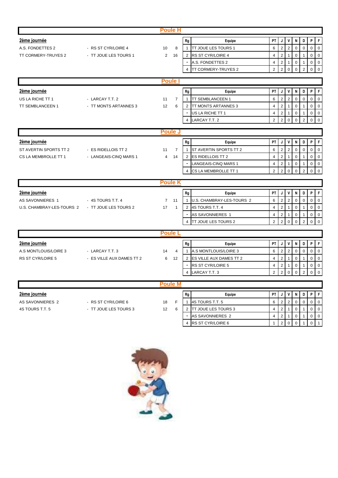|                                                 |                           | <b>Poule H</b>       |                         |                             |                |                |                |             |                |                               |
|-------------------------------------------------|---------------------------|----------------------|-------------------------|-----------------------------|----------------|----------------|----------------|-------------|----------------|-------------------------------|
| 2ème journée                                    |                           |                      | Rg                      | Equipe                      | PT             | J              | v              | N           | D              | P<br>-F                       |
| A.S. FONDETTES 2                                | - RS ST CYR/LOIRE 4       | 8<br>10              | $\mathbf{1}$            | <b>TT JOUE LES TOURS 1</b>  | 6              | $\overline{2}$ | $\overline{2}$ | $\mathbf 0$ | $\mathbf 0$    | $\mathbf 0$<br>$\overline{0}$ |
| TT CORMERY-TRUYES 2                             | - TT JOUE LES TOURS 1     | $\overline{2}$<br>16 | $\overline{2}$          | <b>RS ST CYR/LOIRE 4</b>    | $\overline{4}$ | $\overline{2}$ | $\overline{1}$ | $\mathbf 0$ |                | $\mathbf 0$<br>$\overline{0}$ |
|                                                 |                           |                      |                         | A.S. FONDETTES 2            | $\overline{4}$ | $\overline{2}$ | $\mathbf{1}$   | $\mathbf 0$ | 1              | $\mathbf 0$<br>$\mathbf 0$    |
|                                                 |                           |                      | $\overline{4}$          | <b>ITT CORMERY-TRUYES 2</b> | $\overline{2}$ | $\overline{2}$ | $\Omega$       | $\Omega$    | 2              | $\mathbf 0$<br>$\Omega$       |
|                                                 |                           |                      |                         |                             |                |                |                |             |                |                               |
|                                                 |                           | Poule I              |                         |                             |                |                |                |             |                |                               |
| <u>2ème journée</u>                             |                           |                      | ${\sf Rg}$              | Equipe                      | PT             | J              | v              | N           | D              | P<br>F                        |
| US LA RICHE TT 1                                | - LARCAY T.T. 2           | 11<br>$\overline{7}$ | $\mathbf{1}$            | TT SEMBLANCEEN 1            | 6              | $\overline{2}$ | $\overline{2}$ | $\mathbf 0$ | $\mathbf 0$    | $\mathbf 0$<br>$\mathbf 0$    |
| TT SEMBLANCEEN 1                                | - TT MONTS ARTANNES 3     | 12<br>6              | 2                       | <b>ITT MONTS ARTANNES 3</b> | $\overline{4}$ | $\overline{2}$ | $\mathbf{1}$   | $\mathbf 0$ | 1              | $\mathbf 0$<br>$\overline{0}$ |
|                                                 |                           |                      |                         | US LA RICHE TT 1            | $\overline{4}$ | $\overline{2}$ | $\mathbf{1}$   | $\mathbf 0$ | 1              | $\overline{0}$<br>$\mathbf 0$ |
|                                                 |                           |                      | $\overline{4}$          | LARCAY T.T. 2               | $\overline{2}$ | $\overline{2}$ | $\Omega$       | $\mathbf 0$ | $\overline{2}$ | $\mathbf{0}$<br>$\Omega$      |
|                                                 |                           | <b>Poule J</b>       |                         |                             |                |                |                |             |                |                               |
| 2ème journée                                    |                           |                      | Rg                      | Equipe                      | PT             | J              | V              | N           | D              | P<br>-F                       |
| ST AVERTIN SPORTS TT 2                          | - ES RIDELLOIS TT 2       | $\overline{7}$<br>11 | $\mathbf{1}$            | ST AVERTIN SPORTS TT 2      | 6              | $\overline{2}$ | $\overline{2}$ | $\mathbf 0$ | $\mathbf 0$    | $\mathbf 0$<br>$\overline{0}$ |
| CS LA MEMBROLLE TT 1                            | - LANGEAIS-CINQ MARS 1    | $\overline{4}$<br>14 |                         | 2 ES RIDELLOIS TT 2         | $\overline{4}$ | $\overline{2}$ | $\mathbf{1}$   | $\pmb{0}$   | 1              | $\mathbf 0$<br>$\overline{0}$ |
|                                                 |                           |                      |                         | LANGEAIS-CINQ MARS 1        | $\overline{4}$ | $\overline{2}$ | $\mathbf{1}$   | $\mathbf 0$ | 1              | $\mathbf 0$<br>$\overline{0}$ |
|                                                 |                           |                      | $\overline{\mathbf{4}}$ | CS LA MEMBROLLE TT 1        | 2              | $\overline{2}$ | $\Omega$       | $\Omega$    | $\overline{2}$ | $\Omega$<br>$\Omega$          |
|                                                 |                           |                      |                         |                             |                |                |                |             |                |                               |
|                                                 |                           | <b>Poule K</b>       |                         |                             |                |                |                |             |                |                               |
| 2ème journée                                    |                           |                      | Rg                      | Equipe                      | PT             | J              | v              | N           | D              | P<br>-F                       |
| AS SAVONNIERES 1                                | - 4S TOURS T.T. 4         |                      |                         |                             |                |                |                |             | 0              | $\mathbf 0$<br>$\overline{0}$ |
|                                                 |                           | $7 11$               | $\mathbf{1}$            | U.S. CHAMBRAY-LES-TOURS 2   | 6              | $\overline{2}$ | $\overline{2}$ | $\mathbf 0$ |                |                               |
| U.S. CHAMBRAY-LES-TOURS 2 - TT JOUE LES TOURS 2 |                           | 17<br>$\overline{1}$ |                         | 2 4S TOURS T.T. 4           | $\overline{4}$ | $\overline{2}$ | $\mathbf{1}$   | $\mathbf 0$ | $\mathbf{1}$   | $\mathbf 0$<br>$\overline{0}$ |
|                                                 |                           |                      |                         | AS SAVONNIERES 1            | $\overline{4}$ | $\overline{2}$ | $\mathbf{1}$   | $\mathbf 0$ | 1              | $\mathbf 0$<br>$\overline{0}$ |
|                                                 |                           |                      | $\overline{4}$          | <b>ITT JOUE LES TOURS 2</b> | 2              | $\overline{2}$ | $\mathbf 0$    | $\mathbf 0$ | $\overline{2}$ | $\overline{0}$<br>$\mathbf 0$ |
|                                                 |                           |                      |                         |                             |                |                |                |             |                |                               |
|                                                 |                           | <b>Poule L</b>       |                         |                             |                |                |                |             |                |                               |
| 2ème journée                                    |                           |                      | Rg                      | Equipe                      | PT             | J              | v              | N           | D              | P<br>F                        |
| A.S MONTLOUIS/LOIRE 3                           | - LARCAY T.T. 3           | 14                   | $\mathbf{1}$<br>4       | A.S MONTLOUIS/LOIRE 3       | 6              | $\overline{2}$ | $\overline{2}$ | $\mathbf 0$ | $\mathbf 0$    | $\Omega$<br>$\Omega$          |
| RS ST CYR/LOIRE 5                               | - ES VILLE AUX DAMES TT 2 | 12<br>6              |                         | 2 ES VILLE AUX DAMES TT 2   | $\overline{4}$ | $\overline{2}$ | $\mathbf{1}$   | $\mathbf 0$ | 1              | $\mathbf 0$<br>$\mathbf 0$    |
|                                                 |                           |                      | 4                       | <b>RS ST CYR/LOIRE 5</b>    | $\overline{4}$ | $\overline{2}$ | $\mathbf{1}$   | $\mathbf 0$ |                | $\mathbf 0$<br>$\mathbf 0$    |
|                                                 |                           |                      |                         | LARCAY T.T. 3               | $\overline{2}$ | $\overline{2}$ | $\mathbf 0$    | $\mathbf 0$ | $\overline{2}$ | $\overline{0}$<br>$\mathbf 0$ |
|                                                 |                           | <b>Poule M</b>       |                         |                             |                |                |                |             |                |                               |
| 2ème journée                                    |                           |                      | Rg                      | Equipe                      | PT             | J              | V              | N           | D              | F<br>P                        |
| AS SAVONNIERES 2                                | - RS ST CYR/LOIRE 6       | 18<br>F              | $\mathbf{1}$            | 4S TOURS T.T. 5             | 6              | $\overline{2}$ | 2              | $\mathbf 0$ | $\mathbf 0$    | $\Omega$<br>$\Omega$          |
| 4S TOURS T.T. 5                                 | - TT JOUE LES TOURS 3     | 12                   | 6<br>2                  | <b>TT JOUE LES TOURS 3</b>  | $\overline{4}$ | $\overline{2}$ | $\mathbf{1}$   | 0           | 1              | $\mathbf 0$<br>$\overline{0}$ |
|                                                 |                           |                      |                         | AS SAVONNIERES 2            | $\overline{4}$ | $\overline{2}$ | $\mathbf{1}$   | 0           | 1              | $\mathbf 0$<br>$\overline{0}$ |

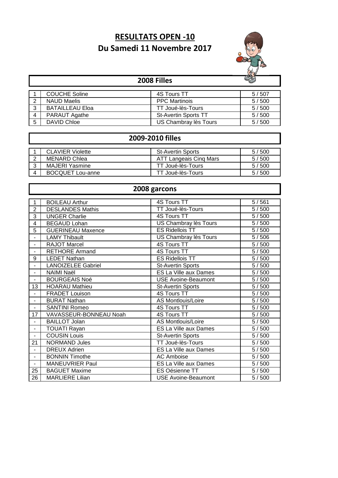# **RESULTATS OPEN -10 Du Samedi 11 Novembre 2017**



|                | $\mathbb{C}^*$<br>2008 Filles |                             |       |  |  |  |  |  |  |  |
|----------------|-------------------------------|-----------------------------|-------|--|--|--|--|--|--|--|
|                | <b>COUCHE Soline</b>          | 4S Tours TT                 | 5/507 |  |  |  |  |  |  |  |
| $\overline{2}$ | <b>NAUD Maelis</b>            | <b>PPC Martinois</b>        | 5/500 |  |  |  |  |  |  |  |
| 3              | <b>BATAILLEAU Eloa</b>        | TT Joué-lès-Tours           | 5/500 |  |  |  |  |  |  |  |
| 4              | PARAUT Agathe                 | <b>St-Avertin Sports TT</b> | 5/500 |  |  |  |  |  |  |  |
| 5              | <b>DAVID Chloe</b>            | US Chambray lès Tours       | 5/500 |  |  |  |  |  |  |  |

# **2009-2010 filles**

 $\mathbf{I}$ 

|   | <b>CLAVIER Violette</b> | <b>St-Avertin Sports</b> | 5/500 |
|---|-------------------------|--------------------------|-------|
| ⌒ | MENARD Chlea            | ATT Langeais Cinq Mars   | 5/500 |
|   | MAJERI Yasmine          | TT Joué-lès-Tours        | 5/500 |
|   | <b>BOCQUET Lou-anne</b> | T Joué-lès-Tours         | 5/500 |

|                | 2008 garcons              |                              |       |  |  |  |
|----------------|---------------------------|------------------------------|-------|--|--|--|
|                |                           |                              |       |  |  |  |
|                | <b>BOILEAU Arthur</b>     | 4S Tours TT                  | 5/561 |  |  |  |
| $\overline{2}$ | <b>DESLANDES Mathis</b>   | TT Joué-lès-Tours            | 5/500 |  |  |  |
| 3              | <b>UNGER Charlie</b>      | 4S Tours TT                  | 5/500 |  |  |  |
| 4              | <b>BEGAUD Lohan</b>       | US Chambray lès Tours        | 5/500 |  |  |  |
| 5              | <b>GUERINEAU Maxence</b>  | <b>ES Ridellois TT</b>       | 5/500 |  |  |  |
|                | <b>LAMY Thibault</b>      | US Chambray lès Tours        | 5/506 |  |  |  |
|                | <b>RAJOT Marcel</b>       | <b>4S Tours TT</b>           | 5/500 |  |  |  |
|                | <b>RETHORE Armand</b>     | <b>4S Tours TT</b>           | 5/500 |  |  |  |
| 9              | <b>LEDET Nathan</b>       | <b>ES Ridellois TT</b>       | 5/500 |  |  |  |
|                | <b>LANOIZELEE Gabriel</b> | <b>St-Avertin Sports</b>     | 5/500 |  |  |  |
| $\blacksquare$ | NAIMI Naël                | ES La Ville aux Dames        | 5/500 |  |  |  |
|                | <b>BOURGEAIS Noé</b>      | <b>USE Avoine-Beaumont</b>   | 5/500 |  |  |  |
| 13             | <b>HOARAU Mathieu</b>     | <b>St-Avertin Sports</b>     | 5/500 |  |  |  |
|                | <b>FRADET Louison</b>     | 4S Tours TT                  | 5/500 |  |  |  |
|                | <b>BURAT Nathan</b>       | AS Montlouis/Loire           | 5/500 |  |  |  |
| $\blacksquare$ | <b>SANTINI Romeo</b>      | 4S Tours TT                  | 5/500 |  |  |  |
| 17             | VAVASSEUR-BONNEAU Noah    | 4S Tours TT                  | 5/500 |  |  |  |
|                | <b>BAILLOT Jolan</b>      | AS Montlouis/Loire           | 5/500 |  |  |  |
| ٠              | <b>TOUATI Rayan</b>       | ES La Ville aux Dames        | 5/500 |  |  |  |
| $\blacksquare$ | <b>COUSIN Louis</b>       | <b>St-Avertin Sports</b>     | 5/500 |  |  |  |
| 21             | <b>NORMAND Jules</b>      | TT Joué-lès-Tours            | 5/500 |  |  |  |
|                | <b>DREUX Adrien</b>       | <b>ES La Ville aux Dames</b> | 5/500 |  |  |  |
| $\blacksquare$ | <b>BONNIN Timothe</b>     | <b>AC Amboise</b>            | 5/500 |  |  |  |
|                | <b>MANEUVRIER Paul</b>    | ES La Ville aux Dames        | 5/500 |  |  |  |
| 25             | <b>BAGUET Maxime</b>      | <b>ES Oésienne TT</b>        | 5/500 |  |  |  |
| 26             | <b>MARLIERE Lilian</b>    | <b>USE Avoine-Beaumont</b>   | 5/500 |  |  |  |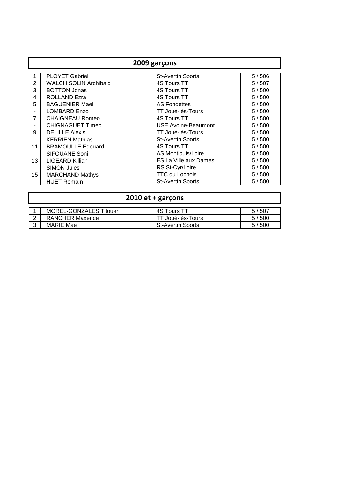|                | 2009 garçons                 |                            |       |  |  |  |
|----------------|------------------------------|----------------------------|-------|--|--|--|
|                |                              |                            |       |  |  |  |
|                | <b>PLOYET Gabriel</b>        | <b>St-Avertin Sports</b>   | 5/506 |  |  |  |
| 2              | <b>WALCH SOLIN Archibald</b> | 4S Tours TT                | 5/507 |  |  |  |
| 3              | <b>BOTTON Jonas</b>          | 4S Tours TT                | 5/500 |  |  |  |
| 4              | ROLLAND Ezra                 | 4S Tours TT                | 5/500 |  |  |  |
| 5              | <b>BAGUENIER Mael</b>        | <b>AS Fondettes</b>        | 5/500 |  |  |  |
|                | <b>LOMBARD Enzo</b>          | TT Joué-lès-Tours          | 5/500 |  |  |  |
| $\overline{7}$ | <b>CHAIGNEAU Romeo</b>       | 4S Tours TT                | 5/500 |  |  |  |
|                | <b>CHIGNAGUET Timeo</b>      | <b>USE Avoine-Beaumont</b> | 5/500 |  |  |  |
| 9              | <b>DELILLE Alexis</b>        | TT Joué-lès-Tours          | 5/500 |  |  |  |
|                | <b>KERRIEN Mathias</b>       | <b>St-Avertin Sports</b>   | 5/500 |  |  |  |
| 11             | <b>BRAMOULLE Edouard</b>     | 4S Tours TT                | 5/500 |  |  |  |
|                | SIFOUANE Soni                | AS Montlouis/Loire         | 5/500 |  |  |  |
| 13             | <b>LIGEARD Killian</b>       | ES La Ville aux Dames      | 5/500 |  |  |  |
|                | <b>SIMON Jules</b>           | RS St-Cyr/Loire            | 5/500 |  |  |  |
| 15             | <b>MARCHAND Mathys</b>       | <b>TTC du Lochois</b>      | 5/500 |  |  |  |
|                | <b>HUET Romain</b>           | <b>St-Avertin Sports</b>   | 5/500 |  |  |  |

# **2010 et + garçons**

| MOREL-GONZALES Titouan | 4S Tours TT              | 5/507   |
|------------------------|--------------------------|---------|
| <b>RANCHER Maxence</b> | Joué-lès-Tours           | 5 / 500 |
| MARIE Mae              | <b>St-Avertin Sports</b> | 5/500   |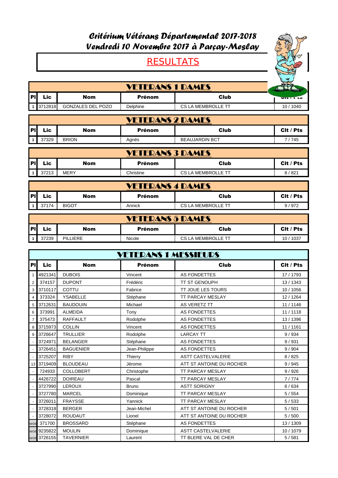# Critérium Vétérans Départemental 2017-2018 Vendredi 10 Novembre 2017 à Parçay-Meslay

# **RESULTATS**



|            | <b>VETERANS 1 DAMES</b> |                   |               |                    |                |  |  |
|------------|-------------------------|-------------------|---------------|--------------------|----------------|--|--|
| <b>IPI</b> | Lic                     | Nom               | <b>Prénom</b> | Club               | <b>VILLELD</b> |  |  |
|            | 3712818                 | GONZALES DEL POZO | Delphine      | CS LA MEMBROLLE TT | 10 / 1040      |  |  |

|    | <b>VETERANS 2 DAMES</b> |              |               |                       |              |  |  |
|----|-------------------------|--------------|---------------|-----------------------|--------------|--|--|
| PI | Lic                     | Nom          | <b>Prénom</b> | Club                  | Cit<br>/ Pts |  |  |
|    | 37329                   | <b>BRION</b> | Agnès         | <b>BEAUJARDIN BCT</b> | 745          |  |  |

| <b>VETERANS 3 DAMES</b> |       |      |               |                    |           |  |
|-------------------------|-------|------|---------------|--------------------|-----------|--|
| l PI                    | Lic   | Nom  | <b>Prénom</b> | <b>Club</b>        | Cit / Pts |  |
|                         | 37213 | MERY | Christine     | CS LA MEMBROLLE TT | 8/821     |  |

|    | <b>VETERANS 4 DAMES</b> |              |        |                    |           |  |  |
|----|-------------------------|--------------|--------|--------------------|-----------|--|--|
| PI | Lic                     | Nom          | Prénom | Club               | Cit / Pts |  |  |
|    | 37174                   | <b>BIGOT</b> | Annick | CS LA MEMBROLLE TT | 9/972     |  |  |

|    | <b>VETERANS 5 DAMES</b> |                 |               |                    |                 |  |  |  |
|----|-------------------------|-----------------|---------------|--------------------|-----------------|--|--|--|
| PI | Lic                     | Nom             | <b>Prénom</b> | Club               | Cit / Pts       |  |  |  |
|    | 37239                   | <b>PILLIERE</b> | Nicole        | CS LA MEMBROLLE TT | $'$ 1037<br>10/ |  |  |  |

|                | <b>VETERANS 1 MESSIEURS</b> |                  |               |                           |           |  |
|----------------|-----------------------------|------------------|---------------|---------------------------|-----------|--|
| <b>PI</b>      | <b>Lic</b>                  | <b>Nom</b>       | <b>Prénom</b> | Club                      | Cit / Pts |  |
| 1              | 4921341                     | <b>DUBOIS</b>    | Vincent       | AS FONDETTES              | 17 / 1793 |  |
| $\overline{2}$ | 374157                      | <b>DUPONT</b>    | Frédéric      | <b>TT ST GENOUPH</b>      | 13/1343   |  |
| 3              | 3710117                     | COTTU            | Fabrice       | <b>TT JOUE LES TOURS</b>  | 10 / 1056 |  |
| $\overline{4}$ | 373324                      | <b>YSABELLE</b>  | Stéphane      | TT PARCAY MESLAY          | 12 / 1264 |  |
| 5              | 3712631                     | <b>BAUDOUIN</b>  | Michael       | <b>AS VERETZ TT</b>       | 11 / 1146 |  |
| 6              | 373991                      | <b>ALMEIDA</b>   | Tony          | <b>AS FONDETTES</b>       | 11 / 1118 |  |
| $\overline{7}$ | 375473                      | <b>RAFFAULT</b>  | Rodolphe      | AS FONDETTES              | 13 / 1396 |  |
| 8              | 3715973                     | <b>COLLIN</b>    | Vincent       | <b>AS FONDETTES</b>       | 11 / 1161 |  |
| 9              | 3726647                     | <b>TRULLIER</b>  | Rodolphe      | <b>LARCAY TT</b>          | 9/934     |  |
|                | 3724971                     | <b>BELANGER</b>  | Stéphane      | <b>AS FONDETTES</b>       | 9/931     |  |
|                | 3726451                     | <b>BAGUENIER</b> | Jean-Philippe | <b>AS FONDETTES</b>       | 9/904     |  |
|                | 3725207                     | <b>RIBY</b>      | Thierry       | <b>ASTT CASTELVALERIE</b> | 8/825     |  |
| 13             | 3719409                     | <b>BLOUDEAU</b>  | Jérome        | ATT ST ANTOINE DU ROCHER  | 9/945     |  |
|                | 724933                      | <b>COLLOBERT</b> | Christophe    | <b>TT PARCAY MESLAY</b>   | 9/926     |  |
|                | 4426722                     | <b>DOIREAU</b>   | Pascal        | <b>TT PARCAY MESLAY</b>   | 7/774     |  |
|                | 3727990                     | <b>LEROUX</b>    | <b>Bruno</b>  | <b>ASTT SORIGNY</b>       | 6/634     |  |
|                | 3727780                     | <b>MARCEL</b>    | Dominique     | <b>TT PARCAY MESLAY</b>   | 5/554     |  |
|                | 3726011                     | <b>FRAYSSE</b>   | Yannick       | <b>TT PARCAY MESLAY</b>   | 5/533     |  |
|                | 3728318                     | <b>BERGER</b>    | Jean-Michel   | ATT ST ANTOINE DU ROCHER  | 5/501     |  |
|                | 3728072                     | <b>ROUDAUT</b>   | Lionel        | ATT ST ANTOINE DU ROCHER  | 5/500     |  |
| <b>WOE</b>     | 371700                      | <b>BROSSARD</b>  | Stéphane      | AS FONDETTES              | 13 / 1309 |  |
|                | WOE 9235822                 | <b>MOULIN</b>    | Dominique     | <b>ASTT CASTELVALERIE</b> | 10 / 1079 |  |
|                | WOE 3726155                 | <b>TAVERNIER</b> | Laurent       | TT BLERE VAL DE CHER      | 5/581     |  |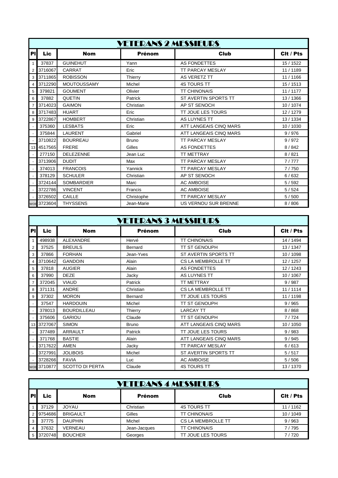|                | <b>VETERANS 2 MESSIEURS</b> |                    |               |                             |           |  |
|----------------|-----------------------------|--------------------|---------------|-----------------------------|-----------|--|
| PI             | <b>Lic</b>                  | <b>Nom</b>         | <b>Prénom</b> | <b>Club</b>                 | Cit / Pts |  |
| $\mathbf{1}$   | 37837                       | <b>GUINEHUT</b>    | Yann          | <b>AS FONDETTES</b>         | 15 / 1522 |  |
| 2              | 3716067                     | <b>CARRAT</b>      | Eric          | <b>TT PARCAY MESLAY</b>     | 11 / 1189 |  |
| 3              | 3711865                     | <b>ROBISSON</b>    | Thierry       | <b>AS VERETZ TT</b>         | 11/1166   |  |
| 4              | 3712290                     | <b>MOUTOUSSAMY</b> | Michel        | <b>4S TOURS TT</b>          | 15/1513   |  |
| 5              | 379821                      | <b>GOUMENT</b>     | Olivier       | <b>TT CHINONAIS</b>         | 11 / 1177 |  |
| 6              | 37882                       | <b>QUETIN</b>      | Patrick       | ST AVERTIN SPORTS TT        | 13/1366   |  |
| $\overline{7}$ | 3714023                     | <b>GAIMON</b>      | Christian     | AP ST SENOCH                | 10 / 1074 |  |
| 8              | 3717483                     | <b>HUART</b>       | Eric          | <b>TT JOUE LES TOURS</b>    | 12/1279   |  |
| 9              | 3722867                     | <b>HOMBERT</b>     | Christian     | <b>AS LUYNES TT</b>         | 13/1334   |  |
|                | 375360                      | <b>LESBATS</b>     | Eric          | ATT LANGEAIS CINQ MARS      | 10 / 1030 |  |
|                | 375844                      | <b>LAURENT</b>     | Gabriel       | ATT LANGEAIS CINQ MARS      | 9/976     |  |
|                | 3710822                     | <b>BOURREAU</b>    | <b>Bruno</b>  | <b>TT PARCAY MESLAY</b>     | 9/972     |  |
|                | 13 4517565                  | <b>FRERE</b>       | Gilles        | <b>AS FONDETTES</b>         | 8/842     |  |
|                | 277150                      | <b>DELEZENNE</b>   | Jean Luc      | <b>TT METTRAY</b>           | 8/821     |  |
|                | 3713906                     | <b>DUDIT</b>       | Max           | <b>TT PARCAY MESLAY</b>     | 7/777     |  |
|                | 374013                      | <b>FRANCOIS</b>    | Yannick       | <b>TT PARCAY MESLAY</b>     | 7/750     |  |
|                | 378129                      | <b>SCHULER</b>     | Christian     | AP ST SENOCH                | 6/632     |  |
|                | 3724144                     | <b>SOMBARDIER</b>  | Marc          | <b>AC AMBOISE</b>           | 5/592     |  |
|                | 3722786                     | <b>VINCENT</b>     | Francis       | <b>AC AMBOISE</b>           | 5/524     |  |
|                | 3726502                     | <b>CAILLE</b>      | Christophe    | <b>TT PARCAY MESLAY</b>     | 5/500     |  |
|                | WOE 3723604                 | <b>THYSSENS</b>    | Jean-Marie    | <b>US VERNOU SUR BRENNE</b> | 8/806     |  |

|                | <b>VETERANS 3 MESSIEURS</b> |                        |               |                          |           |  |  |
|----------------|-----------------------------|------------------------|---------------|--------------------------|-----------|--|--|
| PI             | <b>Lic</b>                  | <b>Nom</b>             | <b>Prénom</b> | <b>Club</b>              | Cit / Pts |  |  |
| $\mathbf{1}$   | 498938                      | ALEXANDRE              | Hervé         | <b>TT CHINONAIS</b>      | 14 / 1494 |  |  |
| $\overline{2}$ | 37525                       | <b>BREUILS</b>         | Bernard       | <b>TT ST GENOUPH</b>     | 13/1347   |  |  |
| 3              | 37866                       | <b>FORHAN</b>          | Jean-Yves     | ST AVERTIN SPORTS TT     | 10 / 1098 |  |  |
| $\overline{4}$ | 3710642                     | <b>GANDOIN</b>         | Alain         | CS LA MEMBROLLE TT       | 12/1257   |  |  |
| 5              | 37818                       | <b>AUGIER</b>          | Alain         | AS FONDETTES             | 12/1243   |  |  |
| 6              | 37990                       | <b>DEZE</b>            | Jacky         | AS LUYNES TT             | 10 / 1067 |  |  |
| $\overline{7}$ | 372045                      | <b>VIAUD</b>           | Patrick       | <b>TT METTRAY</b>        | 9/987     |  |  |
| 8              | 371131                      | <b>ANDRE</b>           | Christian     | CS LA MEMBROLLE TT       | 11/1114   |  |  |
| 9              | 37302                       | <b>MORON</b>           | Bernard       | <b>TT JOUE LES TOURS</b> | 11 / 1198 |  |  |
|                | 37547                       | <b>HARDOUIN</b>        | Michel        | <b>TT ST GENOUPH</b>     | 9/965     |  |  |
|                | 378013                      | <b>BOURDILLEAU</b>     | Thierry       | <b>LARCAY TT</b>         | 8/868     |  |  |
|                | 375606                      | <b>GARIOU</b>          | Claude        | <b>TT ST GENOUPH</b>     | 7/724     |  |  |
|                | 13 3727067                  | <b>SIMON</b>           | <b>Bruno</b>  | ATT LANGEAIS CINQ MARS   | 10 / 1050 |  |  |
|                | 377489                      | ARRAULT                | Patrick       | <b>TT JOUE LES TOURS</b> | 9/983     |  |  |
|                | 371768                      | <b>BASTIE</b>          | Alain         | ATT LANGEAIS CINQ MARS   | 9/945     |  |  |
|                | 3717622                     | <b>AMEN</b>            | Jacky         | <b>TT PARCAY MESLAY</b>  | 6/613     |  |  |
|                | 3727991                     | <b>JOLIBOIS</b>        | Michel        | ST AVERTIN SPORTS TT     | 5/517     |  |  |
|                | 3728266                     | <b>FAVIA</b>           | Luc           | <b>AC AMBOISE</b>        | 5/506     |  |  |
|                | WOE 3710877                 | <b>SCOTTO DI PERTA</b> | Claude        | <b>4S TOURS TT</b>       | 13/1370   |  |  |

|                |         |                 | <b>VETERANS 4 MESSIEURS</b> |                           |           |
|----------------|---------|-----------------|-----------------------------|---------------------------|-----------|
| <b>PI</b>      | Lic     | <b>Nom</b>      | <b>Prénom</b>               | Club                      | Cit / Pts |
|                | 37129   | <b>UAYOL</b>    | Christian                   | <b>4S TOURS TT</b>        | 11 / 1162 |
| $\overline{2}$ | 9754686 | <b>BRIGAULT</b> | Gilles                      | <b>TT CHINONAIS</b>       | 10 / 1049 |
| 3              | 37775   | <b>DAUPHIN</b>  | Michel                      | <b>CS LA MEMBROLLE TT</b> | 9/963     |
| $\overline{4}$ | 37632   | <b>VERNEAU</b>  | Jean-Jacques                | <b>TT CHINONAIS</b>       | 7/795     |
| 5              | 3720748 | <b>BOUCHER</b>  | Georges                     | <b>TT JOUE LES TOURS</b>  | 7/720     |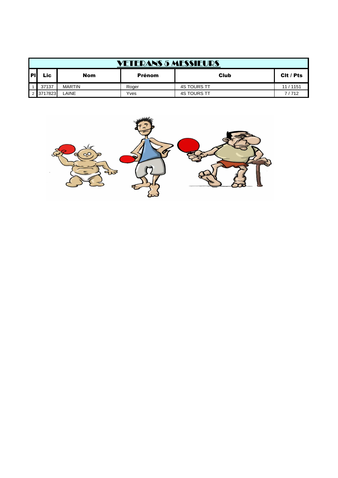|           |           |               | <b>VETERANS 5 MESSIEURS</b> |                    |           |
|-----------|-----------|---------------|-----------------------------|--------------------|-----------|
| <b>PI</b> | Lic       | Nom           | <b>Prénom</b>               | Club               | Cit / Pts |
|           | 37137     | <b>MARTIN</b> | Roger                       | <b>4S TOURS TT</b> | 11 / 1151 |
|           | 2 3717823 | LAINE         | Yves                        | <b>4S TOURS TT</b> | 7/712     |